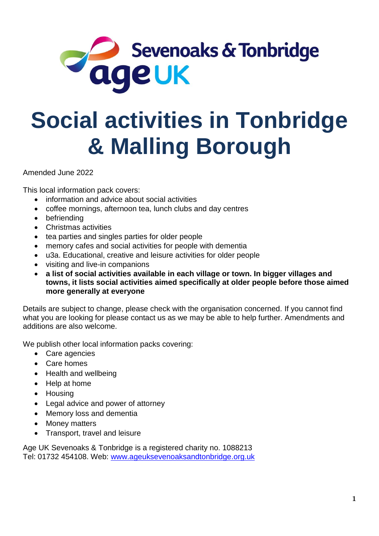

# **Social activities in Tonbridge & Malling Borough**

Amended June 2022

This local information pack covers:

- information and advice about social activities
- coffee mornings, afternoon tea, lunch clubs and day centres
- befriending
- Christmas activities
- tea parties and singles parties for older people
- memory cafes and social activities for people with dementia
- u3a. Educational, creative and leisure activities for older people
- visiting and live-in companions
- **a list of social activities available in each village or town. In bigger villages and towns, it lists social activities aimed specifically at older people before those aimed more generally at everyone**

Details are subject to change, please check with the organisation concerned. If you cannot find what you are looking for please contact us as we may be able to help further. Amendments and additions are also welcome.

We publish other local information packs covering:

- Care agencies
- Care homes
- Health and wellbeing
- Help at home
- Housing
- Legal advice and power of attorney
- Memory loss and dementia
- Money matters
- Transport, travel and leisure

Age UK Sevenoaks & Tonbridge is a registered charity no. 1088213 Tel: 01732 454108. Web: [www.ageuksevenoaksandtonbridge.org.uk](http://www.ageuksevenoaksandtonbridge.org.uk/)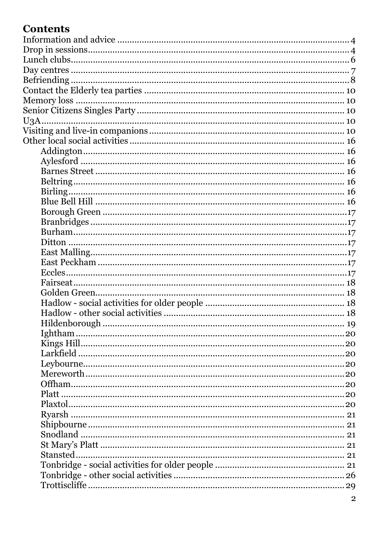# **Contents**

| Ightham |  |
|---------|--|
|         |  |
|         |  |
|         |  |
|         |  |
|         |  |
|         |  |
|         |  |
| Ryarsh. |  |
|         |  |
|         |  |
|         |  |
|         |  |
|         |  |
|         |  |
|         |  |
|         |  |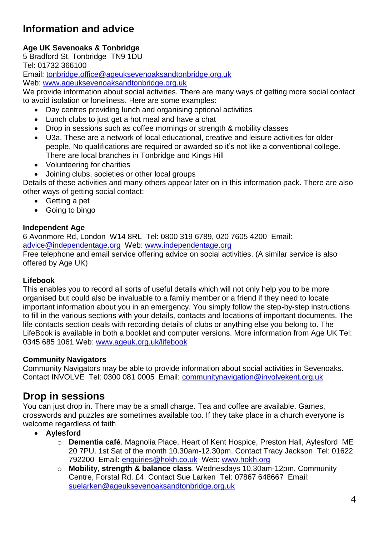# <span id="page-3-0"></span>**Information and advice**

# **Age UK Sevenoaks & Tonbridge**

5 Bradford St, Tonbridge TN9 1DU

Tel: 01732 366100

Email: [tonbridge.office@ageuksevenoaksandtonbridge.org.uk](mailto:tonbridge.office@ageuksevenoaksandtonbridge.org.uk) Web: [www.ageuksevenoaksandtonbridge.org.uk](http://www.ageuksevenoaksandtonbridge.org.uk/)

We provide information about social activities. There are many ways of getting more social contact to avoid isolation or loneliness. Here are some examples:

- Day centres providing lunch and organising optional activities
- Lunch clubs to just get a hot meal and have a chat
- Drop in sessions such as coffee mornings or strength & mobility classes
- U3a. These are a network of local educational, creative and leisure activities for older people. No qualifications are required or awarded so it's not like a conventional college. There are local branches in Tonbridge and Kings Hill
- Volunteering for charities
- Joining clubs, societies or other local groups

Details of these activities and many others appear later on in this information pack. There are also other ways of getting social contact:

- Getting a pet
- Going to bingo

#### **Independent Age**

6 Avonmore Rd, London W14 8RL Tel: 0800 319 6789, 020 7605 4200 Email: [advice@independentage.org](mailto:advice@independentage.org) Web: [www.independentage.org](http://www.independentage.org/)

Free telephone and email service offering advice on social activities. (A similar service is also offered by Age UK)

# **Lifebook**

This enables you to record all sorts of useful details which will not only help you to be more organised but could also be invaluable to a family member or a friend if they need to locate important information about you in an emergency. You simply follow the step-by-step instructions to fill in the various sections with your details, contacts and locations of important documents. The life contacts section deals with recording details of clubs or anything else you belong to. The LifeBook is available in both a booklet and computer versions. More information from Age UK Tel: 0345 685 1061 Web: www.ageuk.org.uk/lifebook

# **Community Navigators**

Community Navigators may be able to provide information about social activities in Sevenoaks. Contact INVOLVE Tel: 0300 081 0005 Email: communitynavigation@involvekent.org.uk

# <span id="page-3-1"></span>**Drop in sessions**

You can just drop in. There may be a small charge. Tea and coffee are available. Games, crosswords and puzzles are sometimes available too. If they take place in a church everyone is welcome regardless of faith

- **Aylesford**
	- o **Dementia café**. Magnolia Place, Heart of Kent Hospice, Preston Hall, Aylesford ME 20 7PU. 1st Sat of the month 10.30am-12.30pm. Contact Tracy Jackson Tel: 01622 792200 Email: [enquiries@hokh.co.uk](mailto:enquiries@hokh.co.uk) Web: [www.hokh.org](http://www.hokh.org/)
	- o **Mobility, strength & balance class**. Wednesdays 10.30am-12pm. Community Centre, Forstal Rd. £4. Contact Sue Larken Tel: 07867 648667 Email: [suelarken@ageuksevenoaksandtonbridge.org.uk](mailto:suelarken@ageuksevenoaksandtonbridge.org.uk)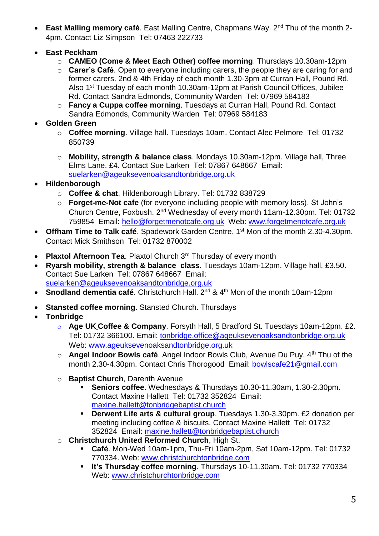- **East Malling memory café**. East Malling Centre, Chapmans Way. 2<sup>nd</sup> Thu of the month 2-4pm. Contact Liz Simpson Tel: 07463 222733
- **East Peckham**
	- o **CAMEO (Come & Meet Each Other) coffee morning**. Thursdays 10.30am-12pm
	- o **Carer's Café**. Open to everyone including carers, the people they are caring for and former carers. 2nd & 4th Friday of each month 1.30-3pm at Curran Hall, Pound Rd. Also 1st Tuesday of each month 10.30am-12pm at Parish Council Offices, Jubilee Rd. Contact Sandra Edmonds, Community Warden Tel: 07969 584183
	- o **Fancy a Cuppa coffee morning**. Tuesdays at Curran Hall, Pound Rd. Contact Sandra Edmonds, Community Warden Tel: 07969 584183
- **Golden Green**
	- o **Coffee morning**. Village hall. Tuesdays 10am. Contact Alec Pelmore Tel: 01732 850739
	- o **Mobility, strength & balance class**. Mondays 10.30am-12pm. Village hall, Three Elms Lane. £4. Contact Sue Larken Tel: 07867 648667 Email: [suelarken@ageuksevenoaksandtonbridge.org.uk](mailto:suelarken@ageuksevenoaksandtonbridge.org.uk)
- **Hildenborough**
	- o **Coffee & chat**. Hildenborough Library. Tel: 01732 838729
	- o **Forget-me-Not cafe** (for everyone including people with memory loss). St John's Church Centre, Foxbush. 2<sup>nd</sup> Wednesday of every month 11am-12.30pm. Tel: 01732 759854 Email: [hello@forgetmenotcafe.org.uk](mailto:hello@forgetmenotcafe.org.uk) Web: [www.forgetmenotcafe.org.uk](http://www.forgetmenotcafe.org.uk/)
- **Offham Time to Talk café**. Spadework Garden Centre. 1<sup>st</sup> Mon of the month 2.30-4.30pm. Contact Mick Smithson Tel: 01732 870002
- **Plaxtol Afternoon Tea**. Plaxtol Church 3<sup>rd</sup> Thursday of every month
- **Ryarsh mobility, strength & balance class**. Tuesdays 10am-12pm. Village hall. £3.50. Contact Sue Larken Tel: 07867 648667 Email: [suelarken@ageuksevenoaksandtonbridge.org.uk](mailto:suelarken@ageuksevenoaksandtonbridge.org.uk)
- **Snodland dementia café.** Christchurch Hall. 2<sup>nd</sup> & 4<sup>th</sup> Mon of the month 10am-12pm
- **Stansted coffee morning**. Stansted Church. Thursdays
- **Tonbridge** 
	- o **Age UK Coffee & Company**. Forsyth Hall, 5 Bradford St. Tuesdays 10am-12pm. £2. Tel: 01732 366100. Email: [tonbridge.office@ageuksevenoaksandtonbridge.org.uk](mailto:tonbridge.office@ageuksevenoaksandtonbridge.org.uk)  Web: [www.ageuksevenoaksandtonbridge.org.uk](http://www.ageuksevenoaksandtonbridge.org.uk/)
	- o **Angel Indoor Bowls café**. Angel Indoor Bowls Club, Avenue Du Puy. 4th Thu of the month 2.30-4.30pm. Contact Chris Thorogood Email: [bowlscafe21@gmail.com](mailto:bowlscafe21@gmail.com)
	- o **Baptist Church**, Darenth Avenue
		- **Seniors coffee**. Wednesdays & Thursdays 10.30-11.30am, 1.30-2.30pm. Contact Maxine Hallett Tel: 01732 352824 Email: [maxine.hallett@tonbridgebaptist.church](mailto:maxine.hallett@tonbridgebaptist.church)
		- **Derwent Life arts & cultural group**. Tuesdays 1.30-3.30pm. £2 donation per meeting including coffee & biscuits. Contact Maxine Hallett Tel: 01732 352824 Email: [maxine.hallett@tonbridgebaptist.church](mailto:maxine.hallett@tonbridgebaptist.church)
	- o **Christchurch United Reformed Church**, High St.
		- **Café**. Mon-Wed 10am-1pm, Thu-Fri 10am-2pm, Sat 10am-12pm. Tel: 01732 770334. Web: [www.christchurchtonbridge.com](http://www.christchurchtonbridge.com/)
		- **It's Thursday coffee morning**. Thursdays 10-11.30am. Tel: 01732 770334 Web: [www.christchurchtonbridge.com](http://www.christchurchtonbridge.com/)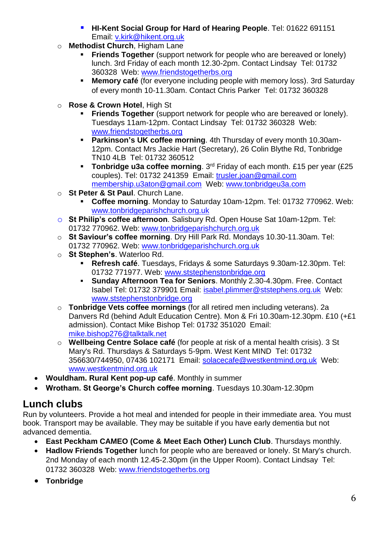- **HI-Kent Social Group for Hard of Hearing People**. Tel: 01622 691151 Email: [v.kirk@hikent.org.uk](mailto:v.kirk@hikent.org.uk)
- o **Methodist Church**, Higham Lane
	- **Friends Together** (support network for people who are bereaved or lonely) lunch. 3rd Friday of each month 12.30-2pm. Contact Lindsay Tel: 01732 360328 Web: [www.friendstogetherbs.org](http://www.friendstogetherbs.org/)
	- **Memory café** (for everyone including people with memory loss). 3rd Saturday of every month 10-11.30am. Contact Chris Parker Tel: 01732 360328
- o **Rose & Crown Hotel**, High St
	- **Friends Together** (support network for people who are bereaved or lonely). Tuesdays 11am-12pm. Contact Lindsay Tel: 01732 360328 Web: www.friendstogetherbs.org
	- **Parkinson's UK coffee morning**. 4th Thursday of every month 10.30am-12pm. Contact Mrs Jackie Hart (Secretary), 26 Colin Blythe Rd, Tonbridge TN10 4LB Tel: 01732 360512
	- **Tonbridge u3a coffee morning**. 3rd Friday of each month. £15 per year (£25 couples). Tel: 01732 241359 Email: trusler.joan@gmail.com membership.u3aton@gmail.com Web: www.tonbridgeu3a.com
- o **St Peter & St Paul**. Church Lane.
	- **Coffee morning**. Monday to Saturday 10am-12pm. Tel: 01732 770962. Web: [www.tonbridgeparishchurch.org.uk](http://www.tonbridgeparishchurch.org.uk/)
- o **St Philip's coffee afternoon**. Salisbury Rd. Open House Sat 10am-12pm. Tel: 01732 770962. Web: [www.tonbridgeparishchurch.org.uk](http://www.tonbridgeparishchurch.org.uk/)
- o **St Saviour's coffee morning**. Dry Hill Park Rd. Mondays 10.30-11.30am. Tel: 01732 770962. Web: [www.tonbridgeparishchurch.org.uk](http://www.tonbridgeparishchurch.org.uk/)
- o **St Stephen's**. Waterloo Rd.
	- **Refresh café**. Tuesdays, Fridays & some Saturdays 9.30am-12.30pm. Tel: 01732 771977. Web: [www.ststephenstonbridge.org](http://www.ststephenstonbridge.org/)
	- **Sunday Afternoon Tea for Seniors**. Monthly 2.30-4.30pm. Free. Contact Isabel Tel: 01732 379901 Email: isabel.plimmer@ststephens.org.uk Web: [www.ststephenstonbridge.org](http://www.ststephenstonbridge.org/)
- o **Tonbridge Vets coffee mornings** (for all retired men including veterans). 2a Danvers Rd (behind Adult Education Centre). Mon & Fri 10.30am-12.30pm. £10 (+£1 admission). Contact Mike Bishop Tel: 01732 351020 Email: [mike.bishop276@talktalk.net](mailto:mike.bishop276@talktalk.net)
- o **Wellbeing Centre Solace café** (for people at risk of a mental health crisis). 3 St Mary's Rd. Thursdays & Saturdays 5-9pm. West Kent MIND Tel: 01732 356630/744950, 07436 102171 Email: [solacecafe@westkentmind.org.uk](mailto:solacecafe@westkentmind.org.uk) Web: www.westkentmind.org.uk
- **Wouldham. Rural Kent pop-up café**. Monthly in summer
- **Wrotham. St George's Church coffee morning**. Tuesdays 10.30am-12.30pm

# <span id="page-5-0"></span>**Lunch clubs**

Run by volunteers. Provide a hot meal and intended for people in their immediate area. You must book. Transport may be available. They may be suitable if you have early dementia but not advanced dementia.

- **East Peckham CAMEO (Come & Meet Each Other) Lunch Club**. Thursdays monthly.
- **Hadlow Friends Together** lunch for people who are bereaved or lonely. St Mary's church. 2nd Monday of each month 12.45-2.30pm (in the Upper Room). Contact Lindsay Tel: 01732 360328 Web: www.friendstogetherbs.org
- **Tonbridge**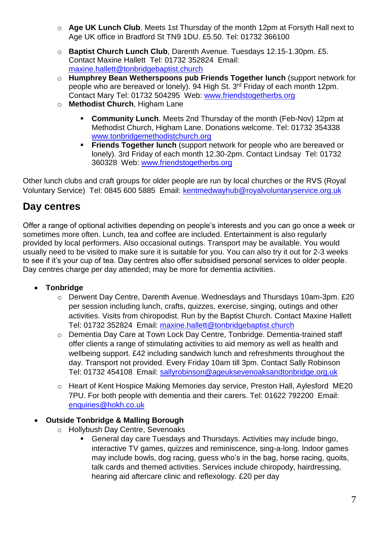- o **Age UK Lunch Club**. Meets 1st Thursday of the month 12pm at Forsyth Hall next to Age UK office in Bradford St TN9 1DU. £5.50. Tel: 01732 366100
- o **Baptist Church Lunch Club**, Darenth Avenue. Tuesdays 12.15-1.30pm. £5. Contact Maxine Hallett Tel: 01732 352824 Email: [maxine.hallett@tonbridgebaptist.church](mailto:maxine.hallett@tonbridgebaptist.church)
- o **Humphrey Bean Wetherspoons pub Friends Together lunch** (support network for people who are bereaved or lonely). 94 High St. 3rd Friday of each month 12pm. Contact Mary Tel: 01732 504295 Web: www.friendstogetherbs.org
- o **Methodist Church**, Higham Lane
	- **Community Lunch**. Meets 2nd Thursday of the month (Feb-Nov) 12pm at Methodist Church, Higham Lane. Donations welcome. Tel: 01732 354338 [www.tonbridgemethodistchurch.org](file:///E:/K)
	- **Friends Together lunch** (support network for people who are bereaved or lonely). 3rd Friday of each month 12.30-2pm. Contact Lindsay Tel: 01732 360328 Web: [www.friendstogetherbs.org](http://www.friendstogetherbs.org/)

Other lunch clubs and craft groups for older people are run by local churches or the RVS (Royal Voluntary Service) Tel: 0845 600 5885 Email: kentmedwayhub@royalvoluntaryservice.org.uk

# <span id="page-6-0"></span>**Day centres**

Offer a range of optional activities depending on people's interests and you can go once a week or sometimes more often. Lunch, tea and coffee are included. Entertainment is also regularly provided by local performers. Also occasional outings. Transport may be available. You would usually need to be visited to make sure it is suitable for you. You can also try it out for 2-3 weeks to see if it's your cup of tea. Day centres also offer subsidised personal services to older people. Day centres charge per day attended; may be more for dementia activities.

# **Tonbridge**

- o Derwent Day Centre, Darenth Avenue. Wednesdays and Thursdays 10am-3pm. £20 per session including lunch, crafts, quizzes, exercise, singing, outings and other activities. Visits from chiropodist. Run by the Baptist Church. Contact Maxine Hallett Tel: 01732 352824 Email: [maxine.hallett@tonbridgebaptist.church](mailto:maxine.hallett@tonbridgebaptist.church)
- o Dementia Day Care at Town Lock Day Centre, Tonbridge. Dementia-trained staff offer clients a range of stimulating activities to aid memory as well as health and wellbeing support. £42 including sandwich lunch and refreshments throughout the day. Transport not provided. Every Friday 10am till 3pm. Contact Sally Robinson Tel: 01732 454108 Email: [sallyrobinson@ageuksevenoaksandtonbridge.org.uk](mailto:sallyrobinson@ageuksevenoaksandtonbridge.org.uk)
- o Heart of Kent Hospice Making Memories day service, Preston Hall, Aylesford ME20 7PU. For both people with dementia and their carers. Tel: 01622 792200 Email: [enquiries@hokh.co.uk](mailto:enquiries@hokh.co.uk)

# **Outside Tonbridge & Malling Borough**

- o Hollybush Day Centre, Sevenoaks
	- General day care Tuesdays and Thursdays. Activities may include bingo, interactive TV games, quizzes and reminiscence, sing-a-long. Indoor games may include bowls, dog racing, guess who's in the bag, horse racing, quoits, talk cards and themed activities. Services include chiropody, hairdressing, hearing aid aftercare clinic and reflexology. £20 per day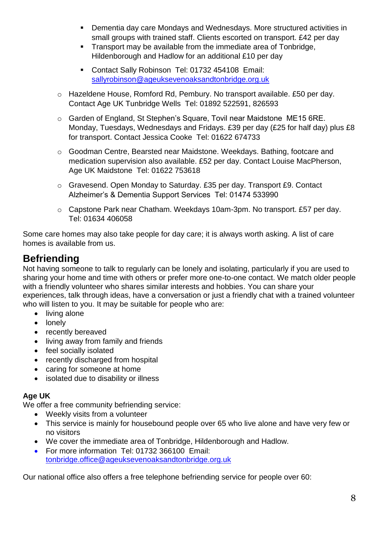- Dementia day care Mondays and Wednesdays. More structured activities in small groups with trained staff. Clients escorted on transport. £42 per day
- **Transport may be available from the immediate area of Tonbridge,** Hildenborough and Hadlow for an additional £10 per day
- Contact Sally Robinson Tel: 01732 454108 Email: [sallyrobinson@ageuksevenoaksandtonbridge.org.uk](mailto:sallyrobinson@ageuksevenoaksandtonbridge.org.uk)
- o Hazeldene House, Romford Rd, Pembury. No transport available. £50 per day. Contact Age UK Tunbridge Wells Tel: 01892 522591, 826593
- o Garden of England, St Stephen's Square, Tovil near Maidstone ME15 6RE. Monday, Tuesdays, Wednesdays and Fridays. £39 per day (£25 for half day) plus £8 for transport. Contact Jessica Cooke Tel: 01622 674733
- o Goodman Centre, Bearsted near Maidstone. Weekdays. Bathing, footcare and medication supervision also available. £52 per day. Contact Louise MacPherson, Age UK Maidstone Tel: 01622 753618
- o Gravesend. Open Monday to Saturday. £35 per day. Transport £9. Contact Alzheimer's & Dementia Support Services Tel: 01474 533990
- o Capstone Park near Chatham. Weekdays 10am-3pm. No transport. £57 per day. Tel: 01634 406058

Some care homes may also take people for day care; it is always worth asking. A list of care homes is available from us.

# <span id="page-7-0"></span>**Befriending**

Not having someone to talk to regularly can be lonely and isolating, particularly if you are used to sharing your home and time with others or prefer more one-to-one contact. We match older people with a friendly volunteer who shares similar interests and hobbies. You can share your experiences, talk through ideas, have a conversation or just a friendly chat with a trained volunteer who will listen to you. It may be suitable for people who are:

- living alone
- lonely
- recently bereaved
- living away from family and friends
- feel socially isolated
- recently discharged from hospital
- caring for someone at home
- isolated due to disability or illness

# **Age UK**

We offer a free community befriending service:

- Weekly visits from a volunteer
- This service is mainly for housebound people over 65 who live alone and have very few or no visitors
- We cover the immediate area of Tonbridge, Hildenborough and Hadlow.
- For more information Tel: 01732 366100 Email: [tonbridge.office@ageuksevenoaksandtonbridge.org.uk](mailto:tonbridge.office@ageuksevenoaksandtonbridge.org.uk)

Our national office also offers a free telephone befriending service for people over 60: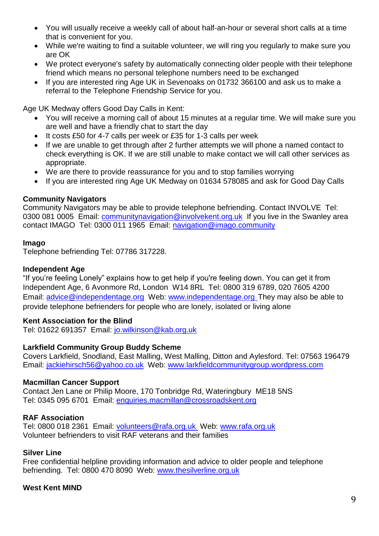- You will usually receive a weekly call of about half-an-hour or several short calls at a time that is convenient for you.
- While we're waiting to find a suitable volunteer, we will ring you regularly to make sure you are OK
- We protect everyone's safety by automatically connecting older people with their telephone friend which means no personal telephone numbers need to be exchanged
- If you are interested ring Age UK in Sevenoaks on 01732 366100 and ask us to make a referral to the Telephone Friendship Service for you.

Age UK Medway offers Good Day Calls in Kent:

- You will receive a morning call of about 15 minutes at a regular time. We will make sure you are well and have a friendly chat to start the day
- It costs £50 for 4-7 calls per week or £35 for 1-3 calls per week
- If we are unable to get through after 2 further attempts we will phone a named contact to check everything is OK. If we are still unable to make contact we will call other services as appropriate.
- We are there to provide reassurance for you and to stop families worrying
- If you are interested ring Age UK Medway on 01634 578085 and ask for Good Day Calls

#### **Community Navigators**

Community Navigators may be able to provide telephone befriending. Contact INVOLVE Tel: 0300 081 0005 Email: *communitynavigation@involvekent.org.uk* If you live in the Swanley area contact IMAGO Tel: 0300 011 1965 Email: navigation@imago.community

#### **Imago**

Telephone befriending Tel: 07786 317228.

#### **Independent Age**

"If you're feeling Lonely" explains how to get help if you're feeling down. You can get it from Independent Age, 6 Avonmore Rd, London W14 8RL Tel: 0800 319 6789, 020 7605 4200 Email: [advice@independentage.org](mailto:advice@independentage.org) Web: [www.independentage.org](http://www.independentage.org/) They may also be able to provide telephone befrienders for people who are lonely, isolated or living alone

#### **Kent Association for the Blind**

Tel: 01622 691357 Email: [jo.wilkinson@kab.org.uk](mailto:jo.wilkinson@kab.org.uk)

#### **Larkfield Community Group Buddy Scheme**

Covers Larkfield, Snodland, East Malling, West Malling, Ditton and Aylesford. Tel: 07563 196479 Email: [jackiehirsch56@yahoo.co.uk](mailto:jackiehirsch56@yahoo.co.uk) Web: [www.larkfieldcommunitygroup.wordpress.com](http://www.larkfieldcommunitygroup.wordpress.com/)

#### **Macmillan Cancer Support**

Contact Jen Lane or Philip Moore, 170 Tonbridge Rd, Wateringbury ME18 5NS Tel: 0345 095 6701 Email: enquiries.macmillan@crossroadskent.org

#### **RAF Association**

Tel: 0800 018 2361 Email: volunteers@rafa.org.uk Web: www.rafa.org.uk Volunteer befrienders to visit RAF veterans and their families

#### **Silver Line**

Free confidential helpline providing information and advice to older people and telephone befriending. Tel: 0800 470 8090 Web: www.thesilverline.org.uk

#### **West Kent MIND**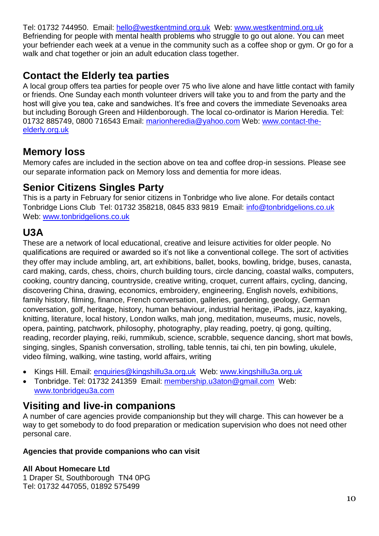Tel: 01732 744950. Email: [hello@westkentmind.org.uk](mailto:hello@westkentmind.org.uk) Web: www.westkentmind.org.uk Befriending for people with mental health problems who struggle to go out alone. You can meet your befriender each week at a venue in the community such as a coffee shop or gym. Or go for a walk and chat together or join an adult education class together.

# <span id="page-9-0"></span>**Contact the Elderly tea parties**

A local group offers tea parties for people over 75 who live alone and have little contact with family or friends. One Sunday each month volunteer drivers will take you to and from the party and the host will give you tea, cake and sandwiches. It's free and covers the immediate Sevenoaks area but including Borough Green and Hildenborough. The local co-ordinator is Marion Heredia. Tel: 01732 885749, 0800 716543 Email: [marionheredia@yahoo.com](mailto:marionheredia@yahoo.com) Web: [www.contact-the](http://www.contact-the-elderly.org.uk/)[elderly.org.uk](http://www.contact-the-elderly.org.uk/)

# <span id="page-9-1"></span>**Memory loss**

Memory cafes are included in the section above on tea and coffee drop-in sessions. Please see our separate information pack on Memory loss and dementia for more ideas.

# <span id="page-9-2"></span>**Senior Citizens Singles Party**

This is a party in February for senior citizens in Tonbridge who live alone. For details contact Tonbridge Lions Club Tel: 01732 358218, 0845 833 9819 Email: [info@tonbridgelions.co.uk](mailto:info@tonbridgelions.co.uk)  Web: [www.tonbridgelions.co.uk](http://www.tonbridgelions.co.uk/)

# <span id="page-9-3"></span>**U3A**

These are a network of local educational, creative and leisure activities for older people. No qualifications are required or awarded so it's not like a conventional college. The sort of activities they offer may include ambling, art, art exhibitions, ballet, books, bowling, bridge, buses, canasta, card making, cards, chess, choirs, church building tours, circle dancing, coastal walks, computers, cooking, country dancing, countryside, creative writing, croquet, current affairs, cycling, dancing, discovering China, drawing, economics, embroidery, engineering, English novels, exhibitions, family history, filming, finance, French conversation, galleries, gardening, geology, German conversation, golf, heritage, history, human behaviour, industrial heritage, iPads, jazz, kayaking, knitting, literature, local history, London walks, mah jong, meditation, museums, music, novels, opera, painting, patchwork, philosophy, photography, play reading, poetry, qi gong, quilting, reading, recorder playing, reiki, rummikub, science, scrabble, sequence dancing, short mat bowls, singing, singles, Spanish conversation, strolling, table tennis, tai chi, ten pin bowling, ukulele, video filming, walking, wine tasting, world affairs, writing

- Kings Hill. Email: [enquiries@kingshillu3a.org.uk](mailto:enquiries@kingshillu3a.org.uk) Web: [www.kingshillu3a.org.uk](http://www.kingshillu3a.org.uk/)
- Tonbridge. Tel: 01732 241359 Email: membership.u3aton@gmail.com Web: www.tonbridgeu3a.com

# <span id="page-9-4"></span>**Visiting and live-in companions**

A number of care agencies provide companionship but they will charge. This can however be a way to get somebody to do food preparation or medication supervision who does not need other personal care.

# **Agencies that provide companions who can visit**

# **All About Homecare Ltd**

1 Draper St, Southborough TN4 0PG Tel: 01732 447055, 01892 575499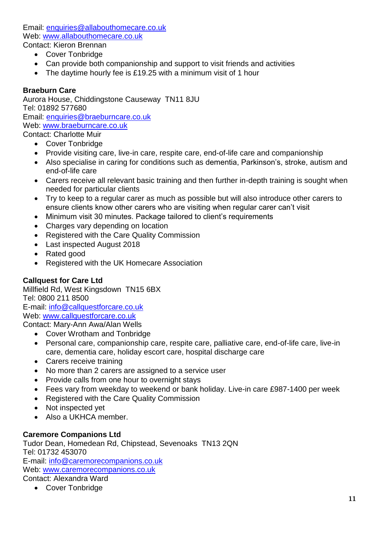Email: [enquiries@allabouthomecare.co.uk](mailto:enquiries@allabouthomecare.co.uk) Web: [www.allabouth](http://www.allabout/)omecare.co.uk Contact: Kieron Brennan

- Cover Tonbridge
- Can provide both companionship and support to visit friends and activities
- The daytime hourly fee is £19.25 with a minimum visit of 1 hour

#### **Braeburn Care**

Aurora House, Chiddingstone Causeway TN11 8JU Tel: 01892 577680 Email: [enquiries@braeburncare.co.uk](mailto:enquiries@braeburncare.co.uk) Web: [www.braeburncare.co.uk](http://www.braeburncare.co.uk/) Contact: Charlotte Muir

- Cover Tonbridge
- Provide visiting care, live-in care, respite care, end-of-life care and companionship
- Also specialise in caring for conditions such as dementia, Parkinson's, stroke, autism and end-of-life care
- Carers receive all relevant basic training and then further in-depth training is sought when needed for particular clients
- Try to keep to a regular carer as much as possible but will also introduce other carers to ensure clients know other carers who are visiting when regular carer can't visit
- Minimum visit 30 minutes. Package tailored to client's requirements
- Charges vary depending on location
- Registered with the Care Quality Commission
- Last inspected August 2018
- Rated good
- Registered with the UK Homecare Association

#### **Callquest for Care Ltd**

Millfield Rd, West Kingsdown TN15 6BX Tel: 0800 211 8500 E-mail: info@callquestforcare.co.uk Web: www.callquestforcare.co.uk Contact: Mary-Ann Awa/Alan Wells

- Cover Wrotham and Tonbridge
- Personal care, companionship care, respite care, palliative care, end-of-life care, live-in care, dementia care, holiday escort care, hospital discharge care
- Carers receive training
- No more than 2 carers are assigned to a service user
- Provide calls from one hour to overnight stavs
- Fees vary from weekday to weekend or bank holiday. Live-in care £987-1400 per week
- Registered with the Care Quality Commission
- Not inspected vet
- Also a UKHCA member.

#### **Caremore Companions Ltd**

Tudor Dean, Homedean Rd, Chipstead, Sevenoaks TN13 2QN Tel: 01732 453070 E-mail: info@caremorecompanions.co.uk Web: [www.caremorecompanions.co.uk](http://www.caremorecompanions.co.uk/) Contact: Alexandra Ward

Cover Tonbridge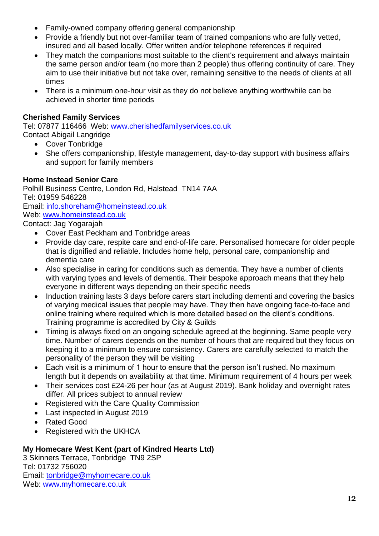- Family-owned company offering general companionship
- Provide a friendly but not over-familiar team of trained companions who are fully vetted, insured and all based locally. Offer written and/or telephone references if required
- They match the companions most suitable to the client's requirement and always maintain the same person and/or team (no more than 2 people) thus offering continuity of care. They aim to use their initiative but not take over, remaining sensitive to the needs of clients at all times
- There is a minimum one-hour visit as they do not believe anything worthwhile can be achieved in shorter time periods

#### **Cherished Family Services**

Tel: 07877 116466 Web: [www.cherishedfamilyservices.co.uk](http://www.cherishedfamilyservices.co.uk/) Contact Abigail Langridge

- Cover Tonbridge
- She offers companionship, lifestyle management, day-to-day support with business affairs and support for family members

#### **Home Instead Senior Care**

Polhill Business Centre, London Rd, Halstead TN14 7AA Tel: 01959 546228 Email: [info.shoreham@homeinstead.co.uk](mailto:info.shoreham@homeinstead.co.uk) Web: [www.homeinstead.co.uk](http://www.homeinstead.co.uk/) Contact: Jag Yogarajah

- Cover East Peckham and Tonbridge areas
- Provide day care, respite care and end-of-life care. Personalised homecare for older people that is dignified and reliable. Includes home help, personal care, companionship and dementia care
- Also specialise in caring for conditions such as dementia. They have a number of clients with varying types and levels of dementia. Their bespoke approach means that they help everyone in different ways depending on their specific needs
- Induction training lasts 3 days before carers start including dementi and covering the basics of varying medical issues that people may have. They then have ongoing face-to-face and online training where required which is more detailed based on the client's conditions. Training programme is accredited by City & Guilds
- Timing is always fixed on an ongoing schedule agreed at the beginning. Same people very time. Number of carers depends on the number of hours that are required but they focus on keeping it to a minimum to ensure consistency. Carers are carefully selected to match the personality of the person they will be visiting
- Each visit is a minimum of 1 hour to ensure that the person isn't rushed. No maximum length but it depends on availability at that time. Minimum requirement of 4 hours per week
- Their services cost £24-26 per hour (as at August 2019). Bank holiday and overnight rates differ. All prices subject to annual review
- Registered with the Care Quality Commission
- Last inspected in August 2019
- Rated Good
- Registered with the UKHCA

#### **My Homecare West Kent (part of Kindred Hearts Ltd)**

3 Skinners Terrace, Tonbridge TN9 2SP Tel: 01732 756020 Email: [tonbridge@myhomecare.co.uk](mailto:tonbridge@myhomecare.co.uk) Web: [www.myhomecare.co.uk](http://www.myhomecare.co.uk/)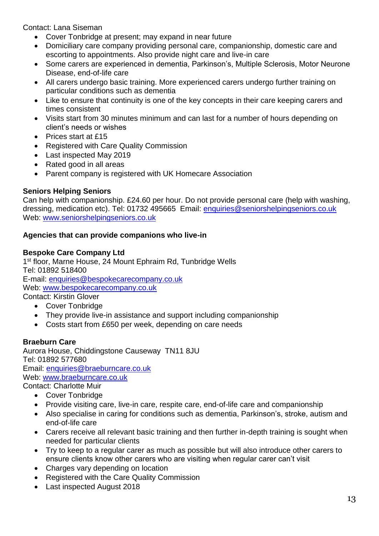Contact: Lana Siseman

- Cover Tonbridge at present; may expand in near future
- Domiciliary care company providing personal care, companionship, domestic care and escorting to appointments. Also provide night care and live-in care
- Some carers are experienced in dementia, Parkinson's, Multiple Sclerosis, Motor Neurone Disease, end-of-life care
- All carers undergo basic training. More experienced carers undergo further training on particular conditions such as dementia
- Like to ensure that continuity is one of the key concepts in their care keeping carers and times consistent
- Visits start from 30 minutes minimum and can last for a number of hours depending on client's needs or wishes
- Prices start at £15
- Registered with Care Quality Commission
- Last inspected May 2019
- Rated good in all areas
- Parent company is registered with UK Homecare Association

# **Seniors Helping Seniors**

Can help with companionship. £24.60 per hour. Do not provide personal care (help with washing, dressing, medication etc). Tel: 01732 495665 Email: enquiries@seniorshelpingseniors.co.uk Web: www.seniorshelpingseniors.co.uk

#### **Agencies that can provide companions who live-in**

#### **Bespoke Care Company Ltd**

1<sup>st</sup> floor, Marne House, 24 Mount Ephraim Rd, Tunbridge Wells Tel: 01892 518400 E-mail: enquiries@bespokecarecompany.co.uk Web: [www.bespokecarecompany.co.uk](http://www.bespokecarecompany.co.uk/) Contact: Kirstin Glover

- Cover Tonbridge
	- They provide live-in assistance and support including companionship
- Costs start from £650 per week, depending on care needs

# **Braeburn Care**

Aurora House, Chiddingstone Causeway TN11 8JU Tel: 01892 577680 Email: [enquiries@braeburncare.co.uk](mailto:enquiries@braeburncare.co.uk) Web: [www.braeburncare.co.uk](http://www.braeburncare.co.uk/) Contact: Charlotte Muir

- Cover Tonbridge
- Provide visiting care, live-in care, respite care, end-of-life care and companionship
- Also specialise in caring for conditions such as dementia, Parkinson's, stroke, autism and end-of-life care
- Carers receive all relevant basic training and then further in-depth training is sought when needed for particular clients
- Try to keep to a regular carer as much as possible but will also introduce other carers to ensure clients know other carers who are visiting when regular carer can't visit
- Charges vary depending on location
- Registered with the Care Quality Commission
- Last inspected August 2018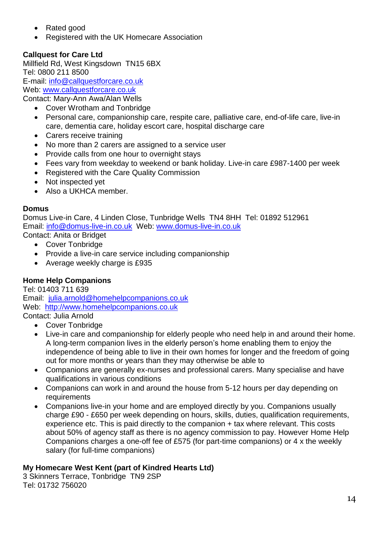- Rated good
- Registered with the UK Homecare Association

# **Callquest for Care Ltd**

Millfield Rd, West Kingsdown TN15 6BX Tel: 0800 211 8500 E-mail: info@callquestforcare.co.uk Web: www.callquestforcare.co.uk Contact: Mary-Ann Awa/Alan Wells

- Cover Wrotham and Tonbridge
- Personal care, companionship care, respite care, palliative care, end-of-life care, live-in care, dementia care, holiday escort care, hospital discharge care
- Carers receive training
- No more than 2 carers are assigned to a service user
- Provide calls from one hour to overnight stays
- Fees vary from weekday to weekend or bank holiday. Live-in care £987-1400 per week
- Registered with the Care Quality Commission
- Not inspected yet
- Also a UKHCA member.

#### **Domus**

Domus Live-in Care, 4 Linden Close, Tunbridge Wells TN4 8HH Tel: 01892 512961 Email: [info@domus-live-in.co.uk](mailto:info@domus-live-in.co.uk) Web: [www.domus-live-in.co.uk](http://www.domus-live-in.co.uk/) Contact: Anita or Bridget

- Cover Tonbridge
- Provide a live-in care service including companionship
- Average weekly charge is £935

# **Home Help Companions**

Tel: 01403 711 639 Email: julia.arnold@homehelpcompanions.co.uk Web: [http://www.homehelpcompanions.co.uk](http://www.homehelpcompanions.co.uk/) Contact: Julia Arnold

- Cover Tonbridge
- Live-in care and companionship for elderly people who need help in and around their home. A long-term companion lives in the elderly person's home enabling them to enjoy the independence of being able to live in their own homes for longer and the freedom of going out for more months or years than they may otherwise be able to
- Companions are generally ex-nurses and professional carers. Many specialise and have qualifications in various conditions
- Companions can work in and around the house from 5-12 hours per day depending on requirements
- Companions live-in your home and are employed directly by you. Companions usually charge £90 - £650 per week depending on hours, skills, duties, qualification requirements, experience etc. This is paid directly to the companion + tax where relevant. This costs about 50% of agency staff as there is no agency commission to pay. However Home Help Companions charges a one-off fee of £575 (for part-time companions) or 4 x the weekly salary (for full-time companions)

# **My Homecare West Kent (part of Kindred Hearts Ltd)**

3 Skinners Terrace, Tonbridge TN9 2SP Tel: 01732 756020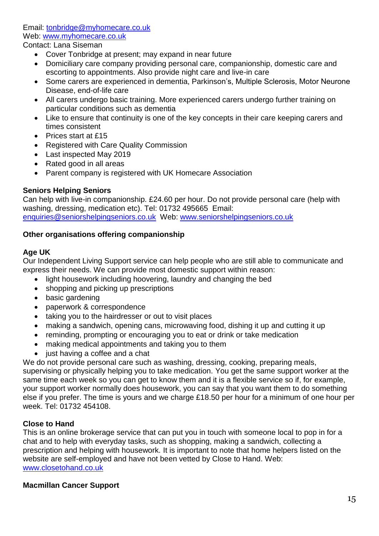Email: [tonbridge@myhomecare.co.uk](mailto:tonbridge@myhomecare.co.uk) Web: [www.myhomecare.co.uk](http://www.myhomecare.co.uk/)

Contact: Lana Siseman

- Cover Tonbridge at present; may expand in near future
- Domiciliary care company providing personal care, companionship, domestic care and escorting to appointments. Also provide night care and live-in care
- Some carers are experienced in dementia, Parkinson's, Multiple Sclerosis, Motor Neurone Disease, end-of-life care
- All carers undergo basic training. More experienced carers undergo further training on particular conditions such as dementia
- Like to ensure that continuity is one of the key concepts in their care keeping carers and times consistent
- Prices start at £15
- Registered with Care Quality Commission
- Last inspected May 2019
- Rated good in all areas
- Parent company is registered with UK Homecare Association

#### **Seniors Helping Seniors**

Can help with live-in companionship. £24.60 per hour. Do not provide personal care (help with washing, dressing, medication etc). Tel: 01732 495665 Email: enquiries@seniorshelpingseniors.co.uk Web: www.seniorshelpingseniors.co.uk

#### **Other organisations offering companionship**

#### **Age UK**

Our Independent Living Support service can help people who are still able to communicate and express their needs. We can provide most domestic support within reason:

- light housework including hoovering, laundry and changing the bed
- shopping and picking up prescriptions
- basic gardening
- paperwork & correspondence
- taking you to the hairdresser or out to visit places
- making a sandwich, opening cans, microwaving food, dishing it up and cutting it up
- reminding, prompting or encouraging you to eat or drink or take medication
- making medical appointments and taking you to them
- just having a coffee and a chat

We do not provide personal care such as washing, dressing, cooking, preparing meals, supervising or physically helping you to take medication. You get the same support worker at the same time each week so you can get to know them and it is a flexible service so if, for example, your support worker normally does housework, you can say that you want them to do something else if you prefer. The time is yours and we charge £18.50 per hour for a minimum of one hour per week. Tel: 01732 454108.

# **Close to Hand**

This is an online brokerage service that can put you in touch with someone local to pop in for a chat and to help with everyday tasks, such as shopping, making a sandwich, collecting a prescription and helping with housework. It is important to note that home helpers listed on the website are self-employed and have not been vetted by Close to Hand. Web: www.closetohand.co.uk

# **Macmillan Cancer Support**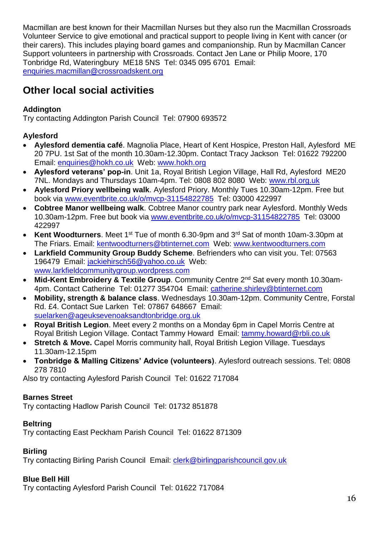Macmillan are best known for their Macmillan Nurses but they also run the Macmillan Crossroads Volunteer Service to give emotional and practical support to people living in Kent with cancer (or their carers). This includes playing board games and companionship. Run by Macmillan Cancer Support volunteers in partnership with Crossroads. Contact Jen Lane or Philip Moore, 170 Tonbridge Rd, Wateringbury ME18 5NS Tel: 0345 095 6701 Email: enquiries.macmillan@crossroadskent.org

# <span id="page-15-0"></span>**Other local social activities**

# <span id="page-15-1"></span>**Addington**

Try contacting Addington Parish Council Tel: 07900 693572

# <span id="page-15-2"></span>**Aylesford**

- **Aylesford dementia café**. Magnolia Place, Heart of Kent Hospice, Preston Hall, Aylesford ME 20 7PU. 1st Sat of the month 10.30am-12.30pm. Contact Tracy Jackson Tel: 01622 792200 Email: [enquiries@hokh.co.uk](mailto:enquiries@hokh.co.uk) Web: [www.hokh.org](http://www.hokh.org/)
- **Aylesford veterans' pop-in**. Unit 1a, Royal British Legion Village, Hall Rd, Aylesford ME20 7NL. Mondays and Thursdays 10am-4pm. Tel: 0808 802 8080 Web: [www.rbl.org.uk](http://www.rbl.org.uk/)
- **Aylesford Priory wellbeing walk**. Aylesford Priory. Monthly Tues 10.30am-12pm. Free but book via [www.eventbrite.co.uk/o/mvcp-31154822785](http://www.eventbrite.co.uk/o/mvcp-31154822785) Tel: 03000 422997
- **Cobtree Manor wellbeing walk**. Cobtree Manor country park near Aylesford. Monthly Weds 10.30am-12pm. Free but book via [www.eventbrite.co.uk/o/mvcp-31154822785](http://www.eventbrite.co.uk/o/mvcp-31154822785) Tel: 03000 422997
- **Kent Woodturners**. Meet 1st Tue of month 6.30-9pm and 3rd Sat of month 10am-3.30pm at The Friars. Email: [kentwoodturners@btinternet.com](mailto:kentwoodturners@btinternet.com) Web: [www.kentwoodturners.com](http://www.kentwoodturners.com/)
- **Larkfield Community Group Buddy Scheme**. Befrienders who can visit you. Tel: 07563 196479 Email: [jackiehirsch56@yahoo.co.uk](mailto:jackiehirsch56@yahoo.co.uk) Web: [www.larkfieldcommunitygroup.wordpress.com](http://www.larkfieldcommunitygroup.wordpress.com/)
- **Mid-Kent Embroidery & Textile Group**. Community Centre 2nd Sat every month 10.30am-4pm. Contact Catherine Tel: 01277 354704 Email: [catherine.shirley@btinternet.com](mailto:catherine.shirley@btinternet.com)
- **Mobility, strength & balance class**. Wednesdays 10.30am-12pm. Community Centre, Forstal Rd. £4. Contact Sue Larken Tel: 07867 648667 Email: [suelarken@ageuksevenoaksandtonbridge.org.uk](mailto:suelarken@ageuksevenoaksandtonbridge.org.uk)
- **Royal British Legion**. Meet every 2 months on a Monday 6pm in Capel Morris Centre at Royal British Legion Village. Contact Tammy Howard Email: tammy.howard@rbli.co.uk
- **Stretch & Move.** Capel Morris community hall, Royal British Legion Village. Tuesdays 11.30am-12.15pm
- **Tonbridge & Malling Citizens' Advice (volunteers)**. Aylesford outreach sessions. Tel: 0808 278 7810

Also try contacting Aylesford Parish Council Tel: 01622 717084

# <span id="page-15-3"></span>**Barnes Street**

Try contacting Hadlow Parish Council Tel: 01732 851878

# <span id="page-15-4"></span>**Beltring**

Try contacting East Peckham Parish Council Tel: 01622 871309

# <span id="page-15-5"></span>**Birling**

Try contacting Birling Parish Council Email: clerk@birlingparishcouncil.gov.uk

#### <span id="page-15-6"></span>**Blue Bell Hill**

Try contacting Aylesford Parish Council Tel: 01622 717084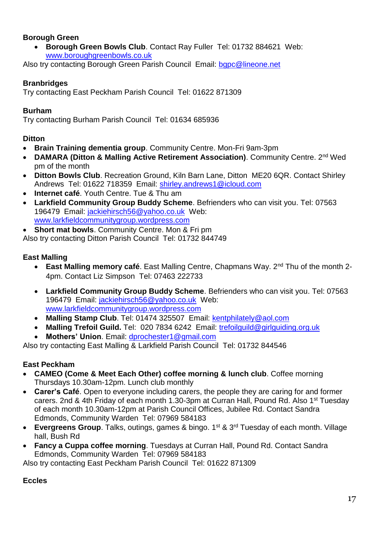#### <span id="page-16-0"></span>**Borough Green**

 **Borough Green Bowls Club**. Contact Ray Fuller Tel: 01732 884621 Web: [www.boroughgreenbowls.co.uk](http://www.boroughgreenbowls.co.uk/)

Also try contacting Borough Green Parish Council Email: bgpc@lineone.net

#### <span id="page-16-1"></span>**Branbridges**

Try contacting East Peckham Parish Council Tel: 01622 871309

#### <span id="page-16-2"></span>**Burham**

Try contacting Burham Parish Council Tel: 01634 685936

## <span id="page-16-3"></span>**Ditton**

- **Brain Training dementia group**. Community Centre. Mon-Fri 9am-3pm
- **DAMARA (Ditton & Malling Active Retirement Association)**. Community Centre. 2nd Wed pm of the month
- **Ditton Bowls Club**. Recreation Ground, Kiln Barn Lane, Ditton ME20 6QR. Contact Shirley Andrews Tel: 01622 718359 Email: [shirley.andrews1@icloud.com](mailto:shirley.andrews1@icloud.com)
- **Internet café**. Youth Centre. Tue & Thu am
- **Larkfield Community Group Buddy Scheme**. Befrienders who can visit you. Tel: 07563 196479 Email: [jackiehirsch56@yahoo.co.uk](mailto:jackiehirsch56@yahoo.co.uk) Web: [www.larkfieldcommunitygroup.wordpress.com](http://www.larkfieldcommunitygroup.wordpress.com/)
- **Short mat bowls**. Community Centre. Mon & Fri pm

Also try contacting Ditton Parish Council Tel: 01732 844749

#### <span id="page-16-4"></span>**East Malling**

- **East Malling memory café**. East Malling Centre, Chapmans Way. 2<sup>nd</sup> Thu of the month 2-4pm. Contact Liz Simpson Tel: 07463 222733
- **Larkfield Community Group Buddy Scheme**. Befrienders who can visit you. Tel: 07563 196479 Email: [jackiehirsch56@yahoo.co.uk](mailto:jackiehirsch56@yahoo.co.uk) Web: [www.larkfieldcommunitygroup.wordpress.com](http://www.larkfieldcommunitygroup.wordpress.com/)
- Malling Stamp Club. Tel: 01474 325507 Email: [kentphilately@aol.com](mailto:kentphilately@aol.com)
- **Malling Trefoil Guild.** Tel: 020 7834 6242 Email: [trefoilguild@girlguiding.org.uk](mailto:trefoilguild@girlguiding.org.uk)
- **Mothers' Union**. Email: [dprochester1@gmail.com](mailto:dprochester1@gmail.com)

Also try contacting East Malling & Larkfield Parish Council Tel: 01732 844546

# <span id="page-16-5"></span>**East Peckham**

- **CAMEO (Come & Meet Each Other) coffee morning & lunch club**. Coffee morning Thursdays 10.30am-12pm. Lunch club monthly
- **Carer's Café**. Open to everyone including carers, the people they are caring for and former carers. 2nd & 4th Friday of each month 1.30-3pm at Curran Hall, Pound Rd. Also 1<sup>st</sup> Tuesday of each month 10.30am-12pm at Parish Council Offices, Jubilee Rd. Contact Sandra Edmonds, Community Warden Tel: 07969 584183
- **Evergreens Group**. Talks, outings, games & bingo. 1<sup>st</sup> & 3<sup>rd</sup> Tuesday of each month. Village hall, Bush Rd
- **Fancy a Cuppa coffee morning**. Tuesdays at Curran Hall, Pound Rd. Contact Sandra Edmonds, Community Warden Tel: 07969 584183

Also try contacting East Peckham Parish Council Tel: 01622 871309

# <span id="page-16-6"></span>**Eccles**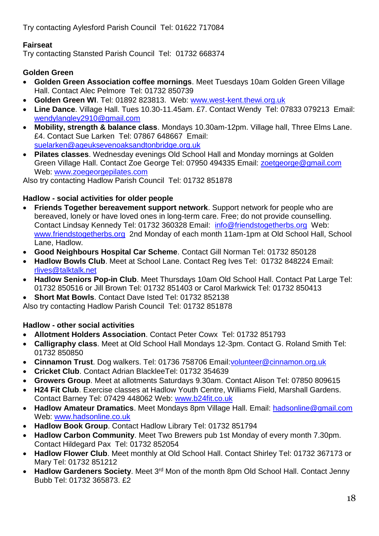Try contacting Aylesford Parish Council Tel: 01622 717084

# <span id="page-17-0"></span>**Fairseat**

Try contacting Stansted Parish Council Tel: 01732 668374

# <span id="page-17-1"></span>**Golden Green**

- **Golden Green Association coffee mornings**. Meet Tuesdays 10am Golden Green Village Hall. Contact Alec Pelmore Tel: 01732 850739
- **Golden Green WI**. Tel: 01892 823813. Web: [www.west-kent.thewi.org.uk](http://www.west-kent.thewi.org.uk/)
- **Line Dance**. Village Hall. Tues 10.30-11.45am. £7. Contact Wendy Tel: 07833 079213 Email: [wendylangley2910@gmail.com](mailto:wendylangley2910@gmail.com)
- **Mobility, strength & balance class**. Mondays 10.30am-12pm. Village hall, Three Elms Lane. £4. Contact Sue Larken Tel: 07867 648667 Email: [suelarken@ageuksevenoaksandtonbridge.org.uk](mailto:suelarken@ageuksevenoaksandtonbridge.org.uk)
- **Pilates classes**. Wednesday evenings Old School Hall and Monday mornings at Golden Green Village Hall. Contact Zoe George Tel: 07950 494335 Email: [zoetgeorge@gmail.com](mailto:zoetgeorge@gmail.com) Web: [www.zoegeorgepilates.com](http://www.zoegeorgepilates.com/)

Also try contacting Hadlow Parish Council Tel: 01732 851878

# <span id="page-17-2"></span>**Hadlow - social activities for older people**

- **Friends Together bereavement support network**. Support network for people who are bereaved, lonely or have loved ones in long-term care. Free; do not provide counselling. Contact Lindsay Kennedy Tel: 01732 360328 Email: [info@friendstogetherbs.org](mailto:info@friendstogetherbs.org) Web: [www.friendstogetherbs.org](http://www.friendstogetherbs.org/) 2nd Monday of each month 11am-1pm at Old School Hall, School Lane, Hadlow.
- **Good Neighbours Hospital Car Scheme**. Contact Gill Norman Tel: 01732 850128
- **Hadlow Bowls Club**. Meet at School Lane. Contact Reg Ives Tel: 01732 848224 Email: [rlives@talktalk.net](mailto:rlives@talktalk.net)
- **Hadlow Seniors Pop-in Club**. Meet Thursdays 10am Old School Hall. Contact Pat Large Tel: 01732 850516 or Jill Brown Tel: 01732 851403 or Carol Markwick Tel: 01732 850413
- **Short Mat Bowls**. Contact Dave Isted Tel: 01732 852138

Also try contacting Hadlow Parish Council Tel: 01732 851878

# <span id="page-17-3"></span>**Hadlow - other social activities**

- **Allotment Holders Association**. Contact Peter Cowx Tel: 01732 851793
- **Calligraphy class**. Meet at Old School Hall Mondays 12-3pm. Contact G. Roland Smith Tel: 01732 850850
- **Cinnamon Trust**. Dog walkers. Tel: 01736 758706 Email[:volunteer@cinnamon.org.uk](mailto:volunteer@cinnamon.org.uk)
- **Cricket Club**. Contact Adrian BlackleeTel: 01732 354639
- **Growers Group**. Meet at allotments Saturdays 9.30am. Contact Alison Tel: 07850 809615
- **H24 Fit Club**. Exercise classes at Hadlow Youth Centre, Williams Field, Marshall Gardens. Contact Barney Tel: 07429 448062 Web: [www.b24fit.co.uk](http://www.b24fit.co.uk/)
- **Hadlow Amateur Dramatics**. Meet Mondays 8pm Village Hall. Email: [hadsonline@gmail.com](mailto:hadsonline@gmail.com) Web: [www.hadsonline.co.uk](http://www.hadsonline.co.uk/)
- **Hadlow Book Group**. Contact Hadlow Library Tel: 01732 851794
- **Hadlow Carbon Community**. Meet Two Brewers pub 1st Monday of every month 7.30pm. Contact Hildegard Pax Tel: 01732 852054
- **Hadlow Flower Club**. Meet monthly at Old School Hall. Contact Shirley Tel: 01732 367173 or Mary Tel: 01732 851212
- Hadlow Gardeners Society. Meet 3<sup>rd</sup> Mon of the month 8pm Old School Hall. Contact Jenny Bubb Tel: 01732 365873. £2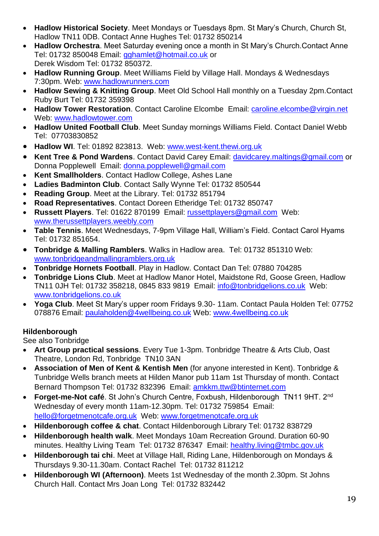- **Hadlow Historical Society**. Meet Mondays or Tuesdays 8pm. St Mary's Church, Church St, Hadlow TN11 0DB. Contact Anne Hughes Tel: 01732 850214
- **Hadlow Orchestra**. Meet Saturday evening once a month in St Mary's Church.Contact Anne Tel: 01732 850048 Email: [gghamlet@hotmail.co.uk](mailto:gghamlet@hotmail.co.uk) or Derek Wisdom Tel: 01732 850372.
- **Hadlow Running Group**. Meet Williams Field by Village Hall. Mondays & Wednesdays 7:30pm. Web: [www.hadlowrunners.com](http://www.hadlowrunners.com/)
- **Hadlow Sewing & Knitting Group**. Meet Old School Hall monthly on a Tuesday 2pm.Contact Ruby Burt Tel: 01732 359398
- **Hadlow Tower Restoration**. Contact Caroline Elcombe Email: [caroline.elcombe@virgin.net](mailto:aroline.elcombe@virgin.net) Web: [www.hadlowtower.com](http://www.hadlowtower.com/)
- **Hadlow United Football Club**. Meet Sunday mornings Williams Field. Contact Daniel Webb Tel: 07703830852
- **Hadlow WI**. Tel: 01892 823813. Web: [www.west-kent.thewi.org.uk](http://www.west-kent.thewi.org.uk/)
- **Kent Tree & Pond Wardens**. Contact David Carey Email: [davidcarey.maltings@gmail.com](mailto:davidcarey.maltings@gmail.com) or Donna Popplewell Email: [donna.popplewell@gmail.com](mailto:donna.popplewell@gmail.com)
- **Kent Smallholders**. Contact Hadlow College, Ashes Lane
- **Ladies Badminton Club**. Contact Sally Wynne Tel: 01732 850544
- **Reading Group**. Meet at the Library. Tel: 01732 851794
- **Road Representatives**. Contact Doreen Etheridge Tel: 01732 850747
- **Russett Players**. Tel: 01622 870199 Email: [russettplayers@gmail.com](mailto:russettplayers@gmail.com) Web: [www.therussettplayers.weebly.com](http://therussettplayers.weebly.com/)
- **Table Tennis**. Meet Wednesdays, 7-9pm Village Hall, William's Field. Contact Carol Hyams Tel: 01732 851654.
- **Tonbridge & Malling Ramblers**. Walks in Hadlow area. Tel: 01732 851310 Web: [www.tonbridgeandmallingramblers.org.uk](http://tonbridgeandmallingramblers.org.uk/)
- **Tonbridge Hornets Football**. Play in Hadlow. Contact Dan Tel: 07880 704285
- **Tonbridge Lions Club**. Meet at Hadlow Manor Hotel, Maidstone Rd, Goose Green, Hadlow TN11 0JH Tel: 01732 358218, 0845 833 9819 Email: [info@tonbridgelions.co.uk](mailto:info@tonbridgelions.co.uk) Web: [www.tonbridgelions.co.uk](http://www.tonbridgelions.co.uk/)
- **Yoga Club**. Meet St Mary's upper room Fridays 9.30- 11am. Contact Paula Holden Tel: 07752 078876 Email: [paulaholden@4wellbeing.co.uk](mailto:paulaholden@4wellbeing.co.uk) Web: [www.4wellbeing.co.uk](http://www.4wellbeing.co.uk/)

# <span id="page-18-0"></span>**Hildenborough**

See also Tonbridge

- **Art Group practical sessions**. Every Tue 1-3pm. Tonbridge Theatre & Arts Club, Oast Theatre, London Rd, Tonbridge TN10 3AN
- **Association of Men of Kent & Kentish Men** (for anyone interested in Kent). Tonbridge & Tunbridge Wells branch meets at Hilden Manor pub 11am 1st Thursday of month. Contact Bernard Thompson Tel: 01732 832396 Email: [amkkm.ttw@btinternet.com](mailto:amkkm.ttw@btinternet.com)
- **Forget-me-Not café**. St John's Church Centre, Foxbush, Hildenborough TN11 9HT. 2nd Wednesday of every month 11am-12.30pm. Tel: 01732 759854 Email: [hello@forgetmenotcafe.org.uk](mailto:hello@forgetmenotcafe.org.uk) Web: [www.forgetmenotcafe.org.uk](http://www.forgetmenotcafe.org.uk/)
- **Hildenborough coffee & chat**. Contact Hildenborough Library Tel: 01732 838729
- **Hildenborough health walk**. Meet Mondays 10am Recreation Ground. Duration 60-90 minutes. Healthy Living Team Tel: 01732 876347 Email: [healthy.living@tmbc.gov.uk](mailto:healthy.living@tmbc.gov.uk)
- **Hildenborough tai chi**. Meet at Village Hall, Riding Lane, Hildenborough on Mondays & Thursdays 9.30-11.30am. Contact Rachel Tel: 01732 811212
- **Hildenborough WI (Afternoon)**. Meets 1st Wednesday of the month 2.30pm. St Johns Church Hall. Contact Mrs Joan Long Tel: 01732 832442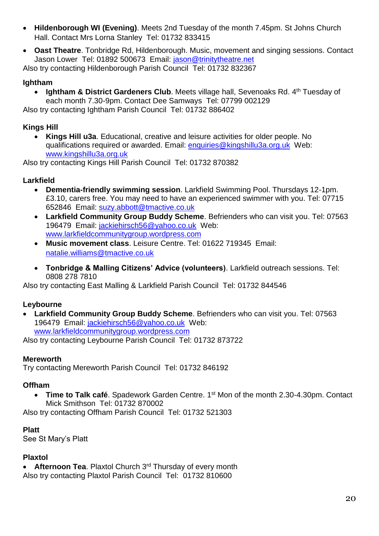- **Hildenborough WI (Evening)**. Meets 2nd Tuesday of the month 7.45pm. St Johns Church Hall. Contact Mrs Lorna Stanley Tel: 01732 833415
- **Oast Theatre**. Tonbridge Rd, Hildenborough. Music, movement and singing sessions. Contact Jason Lower Tel: 01892 500673 Email: [jason@trinitytheatre.net](mailto:jason@trinitytheatre.net)

Also try contacting Hildenborough Parish Council Tel: 01732 832367

# <span id="page-19-0"></span>**Ightham**

• Ightham & District Gardeners Club. Meets village hall, Sevenoaks Rd. 4<sup>th</sup> Tuesday of each month 7.30-9pm. Contact Dee Samways Tel: 07799 002129

Also try contacting Ightham Parish Council Tel: 01732 886402

# <span id="page-19-1"></span>**Kings Hill**

 **Kings Hill u3a**. Educational, creative and leisure activities for older people. No qualifications required or awarded. Email: [enquiries@kingshillu3a.org.uk](mailto:enquiries@kingshillu3a.org.uk) Web: [www.kingshillu3a.org.uk](http://www.kingshillu3a.org.uk/)

Also try contacting Kings Hill Parish Council Tel: 01732 870382

# <span id="page-19-2"></span>**Larkfield**

- **Dementia-friendly swimming session**. Larkfield Swimming Pool. Thursdays 12-1pm. £3.10, carers free. You may need to have an experienced swimmer with you. Tel: 07715 652846 Email: suzy.abbott@tmactive.co.uk
- **Larkfield Community Group Buddy Scheme**. Befrienders who can visit you. Tel: 07563 196479 Email: [jackiehirsch56@yahoo.co.uk](mailto:jackiehirsch56@yahoo.co.uk) Web: [www.larkfieldcommunitygroup.wordpress.com](http://www.larkfieldcommunitygroup.wordpress.com/)
- **Music movement class**. Leisure Centre. Tel: 01622 719345 Email: [natalie.williams@tmactive.co.uk](mailto:natalie.williams@tmactive.co.uk)
- **Tonbridge & Malling Citizens' Advice (volunteers)**. Larkfield outreach sessions. Tel: 0808 278 7810

Also try contacting East Malling & Larkfield Parish Council Tel: 01732 844546

# <span id="page-19-3"></span>**Leybourne**

 **Larkfield Community Group Buddy Scheme**. Befrienders who can visit you. Tel: 07563 196479 Email: [jackiehirsch56@yahoo.co.uk](mailto:jackiehirsch56@yahoo.co.uk) Web: [www.larkfieldcommunitygroup.wordpress.com](http://www.larkfieldcommunitygroup.wordpress.com/)

Also try contacting Leybourne Parish Council Tel: 01732 873722

# <span id="page-19-4"></span>**Mereworth**

Try contacting Mereworth Parish Council Tel: 01732 846192

# <span id="page-19-5"></span>**Offham**

**• Time to Talk café**. Spadework Garden Centre. 1<sup>st</sup> Mon of the month 2.30-4.30pm. Contact Mick Smithson Tel: 01732 870002

Also try contacting Offham Parish Council Tel: 01732 521303

# <span id="page-19-6"></span>**Platt**

See St Mary's Platt

# <span id="page-19-7"></span>**Plaxtol**

**• Afternoon Tea.** Plaxtol Church 3<sup>rd</sup> Thursday of every month Also try contacting Plaxtol Parish Council Tel: 01732 810600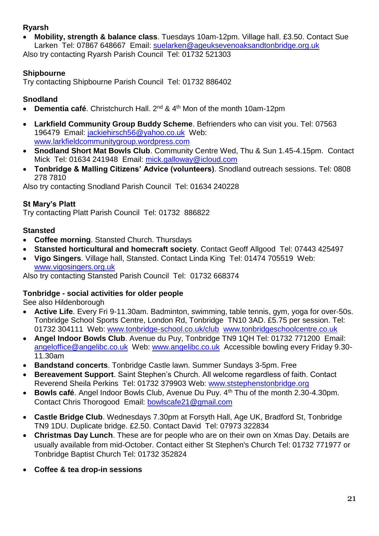#### <span id="page-20-0"></span>**Ryarsh**

 **Mobility, strength & balance class**. Tuesdays 10am-12pm. Village hall. £3.50. Contact Sue Larken Tel: 07867 648667 Email: [suelarken@ageuksevenoaksandtonbridge.org.uk](mailto:suelarken@ageuksevenoaksandtonbridge.org.uk)

Also try contacting Ryarsh Parish Council Tel: 01732 521303

# <span id="page-20-1"></span>**Shipbourne**

Try contacting Shipbourne Parish Council Tel: 01732 886402

# <span id="page-20-2"></span>**Snodland**

- **Dementia café**. Christchurch Hall. 2<sup>nd</sup> & 4<sup>th</sup> Mon of the month 10am-12pm
- **Larkfield Community Group Buddy Scheme**. Befrienders who can visit you. Tel: 07563 196479 Email: [jackiehirsch56@yahoo.co.uk](mailto:jackiehirsch56@yahoo.co.uk) Web: [www.larkfieldcommunitygroup.wordpress.com](http://www.larkfieldcommunitygroup.wordpress.com/)
- **Snodland Short Mat Bowls Club**. Community Centre Wed, Thu & Sun 1.45-4.15pm. Contact Mick Tel: 01634 241948 Email: [mick.galloway@icloud.com](mailto:mick.galloway@icloud.com)
- **Tonbridge & Malling Citizens' Advice (volunteers)**. Snodland outreach sessions. Tel: 0808 278 7810

Also try contacting Snodland Parish Council Tel: 01634 240228

# <span id="page-20-3"></span>**St Mary's Platt**

Try contacting Platt Parish Council Tel: 01732 886822

#### <span id="page-20-4"></span>**Stansted**

- **Coffee morning**. Stansted Church. Thursdays
- **Stansted horticultural and homecraft society**. Contact Geoff Allgood Tel: 07443 425497
- **Vigo Singers**. Village hall, Stansted. Contact Linda King Tel: 01474 705519 Web: [www.vigosingers.org.uk](http://www.vigosingers.org.uk/)

Also try contacting Stansted Parish Council Tel: 01732 668374

# <span id="page-20-5"></span>**Tonbridge - social activities for older people**

See also Hildenborough

- **Active Life**. Every Fri 9-11.30am. Badminton, swimming, table tennis, gym, yoga for over-50s. Tonbridge School Sports Centre, London Rd, Tonbridge TN10 3AD. £5.75 per session. Tel: 01732 304111 Web: www.tonbridge-school.co.uk/club www.tonbridgeschoolcentre.co.uk
- **Angel Indoor Bowls Club**. Avenue du Puy, Tonbridge TN9 1QH Tel: 01732 771200 Email: [angeloffice@angelibc.co.uk](mailto:angeloffice@angelibc.co.uk) Web: [www.angelibc.co.uk](http://www.angelibc.co.uk/) Accessible bowling every Friday 9.30- 11.30am
- **Bandstand concerts**. Tonbridge Castle lawn. Summer Sundays 3-5pm. Free
- **Bereavement Support**. Saint Stephen's Church. All welcome regardless of faith. Contact Reverend Sheila Perkins Tel: 01732 379903 Web: www.ststephenstonbridge.org
- **Bowls café**. Angel Indoor Bowls Club, Avenue Du Puy. 4<sup>th</sup> Thu of the month 2.30-4.30pm. Contact Chris Thorogood Email: [bowlscafe21@gmail.com](mailto:bowlscafe21@gmail.com)
- **Castle Bridge Club**. Wednesdays 7.30pm at Forsyth Hall, Age UK, Bradford St, Tonbridge TN9 1DU. Duplicate bridge. £2.50. Contact David Tel: 07973 322834
- **Christmas Day Lunch**. These are for people who are on their own on Xmas Day. Details are usually available from mid-October. Contact either St Stephen's Church Tel: 01732 771977 or Tonbridge Baptist Church Tel: 01732 352824
- **Coffee & tea drop-in sessions**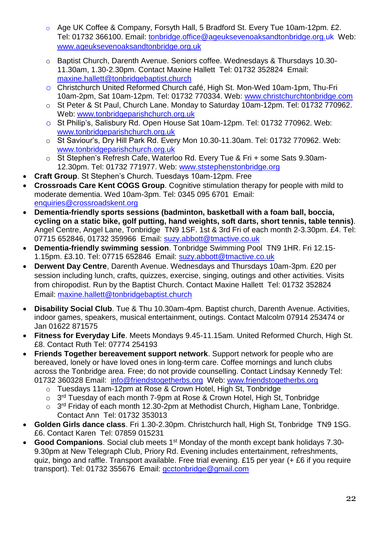- o Age UK Coffee & Company, Forsyth Hall, 5 Bradford St. Every Tue 10am-12pm. £2. Tel: 01732 366100. Email: tonbridge.office@ageuksevenoaksandtonbridge.org.uk Web: www.ageuksevenoaksandtonbridge.org.uk
- o Baptist Church, Darenth Avenue. Seniors coffee. Wednesdays & Thursdays 10.30- 11.30am, 1.30-2.30pm. Contact Maxine Hallett Tel: 01732 352824 Email: [maxine.hallett@tonbridgebaptist.church](mailto:maxine.hallett@tonbridgebaptist.church)
- o Christchurch United Reformed Church café, High St. Mon-Wed 10am-1pm, Thu-Fri 10am-2pm, Sat 10am-12pm. Tel: 01732 770334. Web: [www.christchurchtonbridge.com](http://www.christchurchtonbridge.com/)
- o St Peter & St Paul, Church Lane. Monday to Saturday 10am-12pm. Tel: 01732 770962. Web: [www.tonbridgeparishchurch.org.uk](http://www.tonbridgeparishchurch.org.uk/)
- o St Philip's, Salisbury Rd. Open House Sat 10am-12pm. Tel: 01732 770962. Web: [www.tonbridgeparishchurch.org.uk](http://www.tonbridgeparishchurch.org.uk/)
- o St Saviour's, Dry Hill Park Rd. Every Mon 10.30-11.30am. Tel: 01732 770962. Web: [www.tonbridgeparishchurch.org.uk](http://www.tonbridgeparishchurch.org.uk/)
- o St Stephen's Refresh Cafe, Waterloo Rd. Every Tue & Fri + some Sats 9.30am-12.30pm. Tel: 01732 771977. Web: [www.ststephenstonbridge.org](http://www.ststephenstonbridge.org/)
- **Craft Group**. St Stephen's Church. Tuesdays 10am-12pm. Free
- **Crossroads Care Kent COGS Group**. Cognitive stimulation therapy for people with mild to moderate dementia. Wed 10am-3pm. Tel: 0345 095 6701 Email: enquiries@crossroadskent.org
- **Dementia-friendly sports sessions (badminton, basketball with a foam ball, boccia, cycling on a static bike, golf putting, hand weights, soft darts, short tennis, table tennis)**. Angel Centre, Angel Lane, Tonbridge TN9 1SF. 1st & 3rd Fri of each month 2-3.30pm. £4. Tel: 07715 652846, 01732 359966 Email: suzy.abbott@tmactive.co.uk
- **Dementia-friendly swimming session**. Tonbridge Swimming Pool TN9 1HR. Fri 12.15- 1.15pm. £3.10. Tel: 07715 652846 Email: [suzy.abbott@tmactive.co.uk](mailto:suzy.abbott@tmactive.co.uk)
- **Derwent Day Centre**, Darenth Avenue. Wednesdays and Thursdays 10am-3pm. £20 per session including lunch, crafts, quizzes, exercise, singing, outings and other activities. Visits from chiropodist. Run by the Baptist Church. Contact Maxine Hallett Tel: 01732 352824 Email: [maxine.hallett@tonbridgebaptist.church](mailto:maxine.hallett@tonbridgebaptist.church)
- **Disability Social Club**. Tue & Thu 10.30am-4pm. Baptist church, Darenth Avenue. Activities, indoor games, speakers, musical entertainment, outings. Contact Malcolm 07914 253474 or Jan 01622 871575
- **Fitness for Everyday Life**. Meets Mondays 9.45-11.15am. United Reformed Church, High St. £8. Contact Ruth Tel: 07774 254193
- **Friends Together bereavement support network**. Support network for people who are bereaved, lonely or have loved ones in long-term care. Coffee mornings and lunch clubs across the Tonbridge area. Free; do not provide counselling. Contact Lindsay Kennedy Tel: 01732 360328 Email: [info@friendstogetherbs.org](mailto:info@friendstogetherbs.org) Web: www.friendstogetherbs.org
	- o Tuesdays 11am-12pm at Rose & Crown Hotel, High St, Tonbridge
	- $\circ$  3<sup>rd</sup> Tuesday of each month 7-9pm at Rose & Crown Hotel, High St, Tonbridge
	- o 3<sup>rd</sup> Friday of each month 12.30-2pm at Methodist Church, Higham Lane, Tonbridge. Contact Ann Tel: 01732 353013
- **Golden Girls dance class**. Fri 1.30-2.30pm. Christchurch hall, High St, Tonbridge TN9 1SG. £6. Contact Karen Tel: 07859 015231
- **Good Companions**. Social club meets 1<sup>st</sup> Monday of the month except bank holidays 7.30-9.30pm at New Telegraph Club, Priory Rd. Evening includes entertainment, refreshments, quiz, bingo and raffle. Transport available. Free trial evening. £15 per year (+ £6 if you require transport). Tel: 01732 355676 Email: gcctonbridge@gmail.com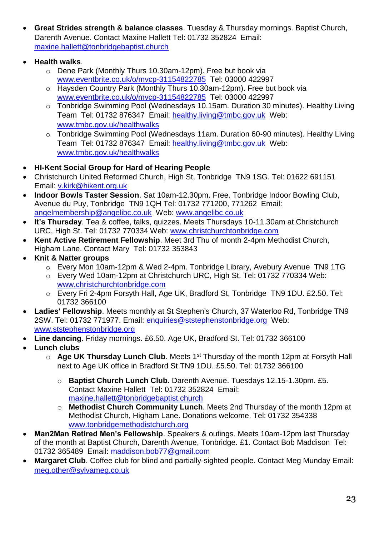- **Great Strides strength & balance classes**. Tuesday & Thursday mornings. Baptist Church, Darenth Avenue. Contact Maxine Hallett Tel: 01732 352824 Email: [maxine.hallett@tonbridgebaptist.church](mailto:maxine.hallett@tonbridgebaptist.church)
- **Health walks**.
	- o Dene Park (Monthly Thurs 10.30am-12pm). Free but book via [www.eventbrite.co.uk/o/mvcp-31154822785](http://www.eventbrite.co.uk/o/mvcp-31154822785) Tel: 03000 422997
	- o Haysden Country Park (Monthly Thurs 10.30am-12pm). Free but book via [www.eventbrite.co.uk/o/mvcp-31154822785](http://www.eventbrite.co.uk/o/mvcp-31154822785) Tel: 03000 422997
	- o Tonbridge Swimming Pool (Wednesdays 10.15am. Duration 30 minutes). Healthy Living Team Tel: 01732 876347 Email: healthy.living@tmbc.gov.uk Web: www.tmbc.gov.uk/healthwalks
	- o Tonbridge Swimming Pool (Wednesdays 11am. Duration 60-90 minutes). Healthy Living Team Tel: 01732 876347 Email: healthy.living@tmbc.gov.uk Web: www.tmbc.gov.uk/healthwalks
- **HI-Kent Social Group for Hard of Hearing People**
- Christchurch United Reformed Church, High St, Tonbridge TN9 1SG. Tel: 01622 691151 Email: [v.kirk@hikent.org.uk](mailto:v.kirk@hikent.org.uk)
- **Indoor Bowls Taster Session**. Sat 10am-12.30pm. Free. Tonbridge Indoor Bowling Club, Avenue du Puy, Tonbridge TN9 1QH Tel: 01732 771200, 771262 Email: angelmembership@angelibc.co.uk Web: www.angelibc.co.uk
- **It's Thursday**. Tea & coffee, talks, quizzes. Meets Thursdays 10-11.30am at Christchurch URC, High St. Tel: 01732 770334 Web: [www.christchurchtonbridge.com](http://www.christchurchtonbridge.com/)
- **Kent Active Retirement Fellowship**. Meet 3rd Thu of month 2-4pm Methodist Church, Higham Lane. Contact Mary Tel: 01732 353843
- **Knit & Natter groups**
	- o Every Mon 10am-12pm & Wed 2-4pm. Tonbridge Library, Avebury Avenue TN9 1TG
	- o Every Wed 10am-12pm at Christchurch URC, High St. Tel: 01732 770334 Web: [www.christchurchtonbridge.com](http://www.christchurchtonbridge.com/)
	- o Every Fri 2-4pm Forsyth Hall, Age UK, Bradford St, Tonbridge TN9 1DU. £2.50. Tel: 01732 366100
- **Ladies' Fellowship**. Meets monthly at St Stephen's Church, 37 Waterloo Rd, Tonbridge TN9 2SW. Tel: 01732 771977. Email: enquiries@ststephenstonbridge.org Web: www.ststephenstonbridge.org
- **Line dancing**. Friday mornings. £6.50. Age UK, Bradford St. Tel: 01732 366100
- **Lunch clubs**
	- o **Age UK Thursday Lunch Club**. Meets 1st Thursday of the month 12pm at Forsyth Hall next to Age UK office in Bradford St TN9 1DU. £5.50. Tel: 01732 366100
		- o **Baptist Church Lunch Club.** Darenth Avenue. Tuesdays 12.15-1.30pm. £5. Contact Maxine Hallett Tel: 01732 352824 Email: [maxine.hallett@tonbridgebaptist.church](mailto:maxine.hallett@tonbridgebaptist.church)
		- o **Methodist Church Community Lunch**. Meets 2nd Thursday of the month 12pm at Methodist Church, Higham Lane. Donations welcome. Tel: 01732 354338 [www.tonbridgemethodistchurch.org](http://www.tonbridgemethodistchurch.org/)
- **Man2Man Retired Men's Fellowship**. Speakers & outings. Meets 10am-12pm last Thursday of the month at Baptist Church, Darenth Avenue, Tonbridge. £1. Contact Bob Maddison Tel: 01732 365489 Email: [maddison.bob77@gmail.com](mailto:maddison.bob77@gmail.com)
- **Margaret Club**. Coffee club for blind and partially-sighted people. Contact Meg Munday Email: [meg.other@sylvameg.co.uk](mailto:meg.other@sylvameg.co.uk)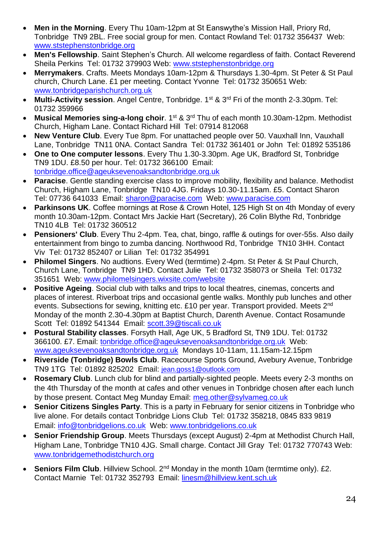- **Men in the Morning**. Every Thu 10am-12pm at St Eanswythe's Mission Hall, Priory Rd, Tonbridge TN9 2BL. Free social group for men. Contact Rowland Tel: 01732 356437 Web: [www.ststephenstonbridge.org](http://www.ststephenstonbridge.org/)
- **Men's Fellowship**. Saint Stephen's Church. All welcome regardless of faith. Contact Reverend Sheila Perkins Tel: 01732 379903 Web: www.ststephenstonbridge.org
- **Merrymakers**. Crafts. Meets Mondays 10am-12pm & Thursdays 1.30-4pm. St Peter & St Paul church, Church Lane. £1 per meeting. Contact Yvonne Tel: 01732 350651 Web: [www.tonbridgeparishchurch.org.uk](http://www.tonbridgeparishchurch.org.uk/)
- Multi-Activity session. Angel Centre, Tonbridge. 1<sup>st</sup> & 3<sup>rd</sup> Fri of the month 2-3.30pm. Tel: 01732 359966
- **Musical Memories sing-a-long choir.** 1<sup>st</sup> & 3<sup>rd</sup> Thu of each month 10.30am-12pm. Methodist Church, Higham Lane. Contact Richard Hill Tel: 07914 812068
- **New Venture Club**. Every Tue 8pm. For unattached people over 50. Vauxhall Inn, Vauxhall Lane, Tonbridge TN11 0NA. Contact Sandra Tel: 01732 361401 or John Tel: 01892 535186
- **One to One computer lessons**. Every Thu 1.30-3.30pm. Age UK, Bradford St, Tonbridge TN9 1DU. £8.50 per hour. Tel: 01732 366100 Email: tonbridge.office@ageuksevenoaksandtonbridge.org.uk
- **Paracise**. Gentle standing exercise class to improve mobility, flexibility and balance. Methodist Church, Higham Lane, Tonbridge TN10 4JG. Fridays 10.30-11.15am. £5. Contact Sharon Tel: 07736 641033 Email: sharon@paracise.com Web: www.paracise.com
- **Parkinsons UK**. Coffee mornings at Rose & Crown Hotel, 125 High St on 4th Monday of every month 10.30am-12pm. Contact Mrs Jackie Hart (Secretary), 26 Colin Blythe Rd, Tonbridge TN10 4LB Tel: 01732 360512
- **Pensioners' Club**. Every Thu 2-4pm. Tea, chat, bingo, raffle & outings for over-55s. Also daily entertainment from bingo to zumba dancing. Northwood Rd, Tonbridge TN10 3HH. Contact Viv Tel: 01732 852407 or Lilian Tel: 01732 354991
- **Philomel Singers**. No audtions. Every Wed (termtime) 2-4pm. St Peter & St Paul Church, Church Lane, Tonbridge TN9 1HD. Contact Julie Tel: 01732 358073 or Sheila Tel: 01732 351651 Web: [www.philomelsingers.wixsite.com/website](http://www.philomelsingers.wixsite.com/website)
- **Positive Ageing**. Social club with talks and trips to local theatres, cinemas, concerts and places of interest. Riverboat trips and occasional gentle walks. Monthly pub lunches and other events. Subsections for sewing, knitting etc. £10 per year. Transport provided. Meets 2<sup>nd</sup> Monday of the month 2.30-4.30pm at Baptist Church, Darenth Avenue. Contact Rosamunde Scott Tel: 01892 541344 Email: [scott.39@tiscali.co.uk](mailto:scott.39@tiscali.co.uk)
- **Postural Stability classes**. Forsyth Hall, Age UK, 5 Bradford St, TN9 1DU. Tel: 01732 366100. £7. Email: tonbridge.office@ageuksevenoaksandtonbridge.org.uk Web: www.ageuksevenoaksandtonbridge.org.uk Mondays 10-11am, 11.15am-12.15pm
- **Riverside (Tonbridge) Bowls Club**. Racecourse Sports Ground, Avebury Avenue, Tonbridge TN9 1TG Tel: 01892 825202 Email: [jean.goss1@outlook.com](mailto:jean.goss1@outlook.com)
- **Rosemary Club**. Lunch club for blind and partially-sighted people. Meets every 2-3 months on the 4th Thursday of the month at cafes and other venues in Tonbridge chosen after each lunch by those present. Contact Meg Munday Email: [meg.other@sylvameg.co.uk](mailto:meg.other@sylvameg.co.uk)
- **Senior Citizens Singles Party**. This is a party in February for senior citizens in Tonbridge who live alone. For details contact Tonbridge Lions Club Tel: 01732 358218, 0845 833 9819 Email: [info@tonbridgelions.co.uk](mailto:info@tonbridgelions.co.uk) Web: [www.tonbridgelions.co.uk](http://www.tonbridgelions.co.uk/)
- **Senior Friendship Group**. Meets Thursdays (except August) 2-4pm at Methodist Church Hall, Higham Lane, Tonbridge TN10 4JG. Small charge. Contact Jill Gray Tel: 01732 770743 Web: www.tonbridgemethodistchurch.org
- **Seniors Film Club.** Hillview School. 2<sup>nd</sup> Monday in the month 10am (termtime only). £2. Contact Marnie Tel: 01732 352793 Email: [linesm@hillview.kent.sch.uk](mailto:linesm@hillview.kent.sch.uk)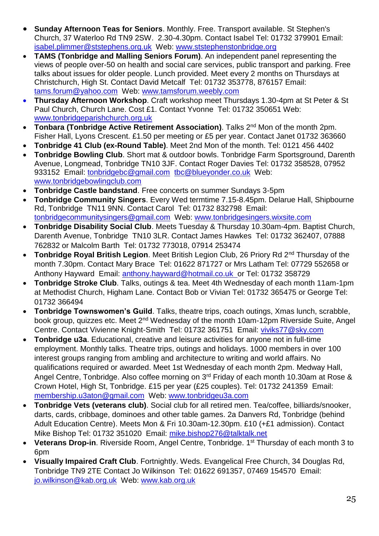- **Sunday Afternoon Teas for Seniors**. Monthly. Free. Transport available. St Stephen's Church, 37 Waterloo Rd TN9 2SW. 2.30-4.30pm. Contact Isabel Tel: 01732 379901 Email: isabel.plimmer@ststephens.org.uk Web: www.ststephenstonbridge.org
- **TAMS (Tonbridge and Malling Seniors Forum)**. An independent panel representing the views of people over-50 on health and social care services, public transport and parking. Free talks about issues for older people. Lunch provided. Meet every 2 months on Thursdays at Christchurch, High St. Contact David Metcalf Tel: 01732 353778, 876157 Email: [tams.forum@yahoo.com](mailto:tams.forum@yahoo.com) Web: www.tamsforum.weebly.com
- **Thursday Afternoon Workshop**. Craft workshop meet Thursdays 1.30-4pm at St Peter & St Paul Church, Church Lane. Cost £1. Contact Yvonne Tel: 01732 350651 Web: www.tonbridgeparishchurch.org.uk
- **Tonbara (Tonbridge Active Retirement Association).** Talks 2<sup>nd</sup> Mon of the month 2pm. Fisher Hall, Lyons Crescent. £1.50 per meeting or £5 per year. Contact Janet 01732 363660
- **Tonbridge 41 Club (ex-Round Table)**. Meet 2nd Mon of the month. Tel: 0121 456 4402
- **Tonbridge Bowling Club**. Short mat & outdoor bowls. Tonbridge Farm Sportsground, Darenth Avenue, Longmead, Tonbridge TN10 3JF. Contact Roger Davies Tel: 01732 358528, 07952 933152 Email: [tonbridgebc@gmail.com](mailto:tonbridgebc@gmail.com) [tbc@blueyonder.co.uk](mailto:tbc@blueyonder.co.uk) Web: www.tonbridgebowlingclub.com
- **Tonbridge Castle bandstand**. Free concerts on summer Sundays 3-5pm
- **Tonbridge Community Singers**. Every Wed termtime 7.15-8.45pm. Delarue Hall, Shipbourne Rd, Tonbridge TN11 9NN. Contact Carol Tel: 01732 832798 Email: [tonbridgecommunitysingers@gmail.com](mailto:tonbridgecommunitysingers@gmail.com) Web: [www.tonbridgesingers.wixsite.com](http://www.tonbridgesingers.wixsite.com/)
- **Tonbridge Disability Social Club**. Meets Tuesday & Thursday 10.30am-4pm. Baptist Church, Darenth Avenue, Tonbridge TN10 3LR. Contact James Hawkes Tel: 01732 362407, 07888 762832 or Malcolm Barth Tel: 01732 773018, 07914 253474
- **Tonbridge Royal British Legion.** Meet British Legion Club, 26 Priory Rd 2<sup>nd</sup> Thursday of the month 7.30pm. Contact Mary Brace Tel: 01622 871727 or Mrs Latham Tel: 07729 552658 or Anthony Hayward Email: [anthony.hayward@hotmail.co.uk](mailto:anthony.hayward@hotmail.co.uk) or Tel: 01732 358729
- **Tonbridge Stroke Club**. Talks, outings & tea. Meet 4th Wednesday of each month 11am-1pm at Methodist Church, Higham Lane. Contact Bob or Vivian Tel: 01732 365475 or George Tel: 01732 366494
- **Tonbridge Townswomen's Guild**. Talks, theatre trips, coach outings, Xmas lunch, scrabble, book group, quizzes etc. Meet 2<sup>nd</sup> Wednesday of the month 10am-12pm Riverside Suite, Angel Centre. Contact Vivienne Knight-Smith Tel: 01732 361751 Email: [viviks77@sky.com](mailto:viviks77@sky.com)
- **Tonbridge u3a**. Educational, creative and leisure activities for anyone not in full-time employment. Monthly talks. Theatre trips, outings and holidays. 1000 members in over 100 interest groups ranging from ambling and architecture to writing and world affairs. No qualifications required or awarded. Meet 1st Wednesday of each month 2pm. Medway Hall, Angel Centre, Tonbridge. Also coffee morning on 3rd Friday of each month 10.30am at Rose & Crown Hotel, High St, Tonbridge. £15 per year (£25 couples). Tel: 01732 241359 Email: membership.u3aton@gmail.com Web: www.tonbridgeu3a.com
- **Tonbridge Vets (veterans club)**. Social club for all retired men. Tea/coffee, billiards/snooker, darts, cards, cribbage, dominoes and other table games. 2a Danvers Rd, Tonbridge (behind Adult Education Centre). Meets Mon & Fri 10.30am-12.30pm. £10 (+£1 admission). Contact Mike Bishop Tel: 01732 351020 Email: mike.bishop276@talktalk.net
- **Veterans Drop-in**. Riverside Room, Angel Centre, Tonbridge. 1<sup>st</sup> Thursday of each month 3 to 6pm
- **Visually Impaired Craft Club**. Fortnightly. Weds. Evangelical Free Church, 34 Douglas Rd, Tonbridge TN9 2TE Contact Jo Wilkinson Tel: 01622 691357, 07469 154570 Email: [jo.wilkinson@kab.org.uk](mailto:jo.wilkinson@kab.org.uk) Web: www.kab.org.uk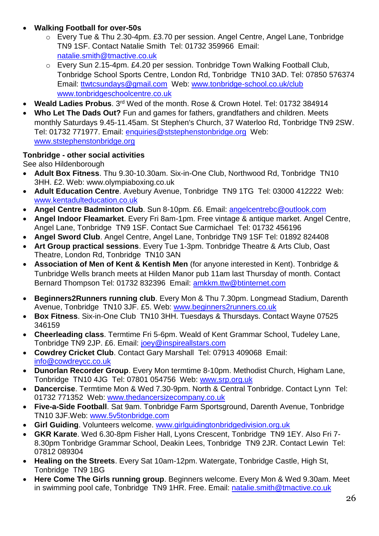# **Walking Football for over-50s**

- o Every Tue & Thu 2.30-4pm. £3.70 per session. Angel Centre, Angel Lane, Tonbridge TN9 1SF. Contact Natalie Smith Tel: 01732 359966 Email: natalie.smith@tmactive.co.uk
- o Every Sun 2.15-4pm. £4.20 per session. Tonbridge Town Walking Football Club, Tonbridge School Sports Centre, London Rd, Tonbridge TN10 3AD. Tel: 07850 576374 Email: ttwtcsundays@gmail.com Web: www.tonbridge-school.co.uk/club www.tonbridgeschoolcentre.co.uk
- **Weald Ladies Probus**. 3rd Wed of the month. Rose & Crown Hotel. Tel: 01732 384914
- **Who Let The Dads Out?** Fun and games for fathers, grandfathers and children. Meets monthly Saturdays 9.45-11.45am. St Stephen's Church, 37 Waterloo Rd, Tonbridge TN9 2SW. Tel: 01732 771977. Email: enquiries@ststephenstonbridge.org Web: www.ststephenstonbridge.org

# <span id="page-25-0"></span>**Tonbridge - other social activities**

See also Hildenborough

- **Adult Box Fitness**. Thu 9.30-10.30am. Six-in-One Club, Northwood Rd, Tonbridge TN10 3HH. £2. Web: www.olympiaboxing.co.uk
- **Adult Education Centre**. Avebury Avenue, Tonbridge TN9 1TG Tel: 03000 412222 Web: www.kentadulteducation.co.uk
- **Angel Centre Badminton Club**. Sun 8-10pm. £6. Email: [angelcentrebc@outlook.com](mailto:angelcentrebc@outlook.com)
- **Angel Indoor Fleamarket**. Every Fri 8am-1pm. Free vintage & antique market. Angel Centre, Angel Lane, Tonbridge TN9 1SF. Contact Sue Carmichael Tel: 01732 456196
- **Angel Sword Club**. Angel Centre, Angel Lane, Tonbridge TN9 1SF Tel: 01892 824408
- **Art Group practical sessions**. Every Tue 1-3pm. Tonbridge Theatre & Arts Club, Oast Theatre, London Rd, Tonbridge TN10 3AN
- **Association of Men of Kent & Kentish Men** (for anyone interested in Kent). Tonbridge & Tunbridge Wells branch meets at Hilden Manor pub 11am last Thursday of month. Contact Bernard Thompson Tel: 01732 832396 Email: [amkkm.ttw@btinternet.com](mailto:amkkm.ttw@btinternet.com)
- **Beginners2Runners running club**. Every Mon & Thu 7.30pm. Longmead Stadium, Darenth Avenue, Tonbridge TN10 3JF. £5. Web: www.beginners2runners.co.uk
- **Box Fitness**. Six-in-One Club TN10 3HH. Tuesdays & Thursdays. Contact Wayne 07525 346159
- **Cheerleading class**. Termtime Fri 5-6pm. Weald of Kent Grammar School, Tudeley Lane, Tonbridge TN9 2JP. £6. Email: joey@inspireallstars.com
- **Cowdrey Cricket Club**. Contact Gary Marshall Tel: 07913 409068 Email: [info@cowdreycc.co.uk](mailto:info@cowdreycc.co.uk)
- **Dunorlan Recorder Group**. Every Mon termtime 8-10pm. Methodist Church, Higham Lane, Tonbridge TN10 4JG Tel: 07801 054756 Web: www.srp.org.uk
- **Dancercise**. Termtime Mon & Wed 7.30-9pm. North & Central Tonbridge. Contact Lynn Tel: 01732 771352 Web: www.thedancersizecompany.co.uk
- **Five-a-Side Football**. Sat 9am. Tonbridge Farm Sportsground, Darenth Avenue, Tonbridge TN10 3JF.Web: www.5v5tonbridge.com
- **Girl Guiding**. Volunteers welcome. www.girlguidingtonbridgedivision.org.uk
- **GKR Karate**. Wed 6.30-8pm Fisher Hall, Lyons Crescent, Tonbridge TN9 1EY. Also Fri 7- 8.30pm Tonbridge Grammar School, Deakin Lees, Tonbridge TN9 2JR. Contact Lewin Tel: 07812 089304
- **Healing on the Streets**. Every Sat 10am-12pm. Watergate, Tonbridge Castle, High St, Tonbridge TN9 1BG
- **Here Come The Girls running group**. Beginners welcome. Every Mon & Wed 9.30am. Meet in swimming pool cafe, Tonbridge TN9 1HR. Free. Email: natalie.smith@tmactive.co.uk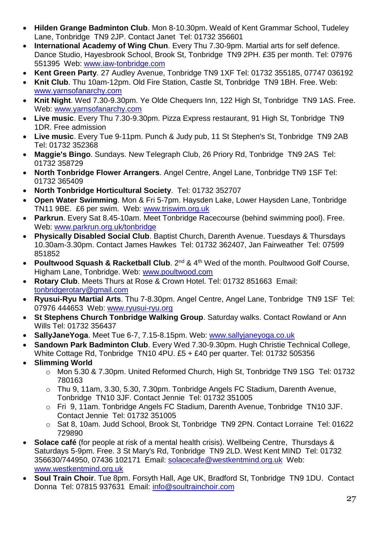- **Hilden Grange Badminton Club**. Mon 8-10.30pm. Weald of Kent Grammar School, Tudeley Lane, Tonbridge TN9 2JP. Contact Janet Tel: 01732 356601
- **International Academy of Wing Chun**. Every Thu 7.30-9pm. Martial arts for self defence. Dance Studio, Hayesbrook School, Brook St, Tonbridge TN9 2PH. £35 per month. Tel: 07976 551395 Web: www.iaw-tonbridge.com
- **Kent Green Party**. 27 Audley Avenue, Tonbridge TN9 1XF Tel: 01732 355185, 07747 036192
- **Knit Club**. Thu 10am-12pm. Old Fire Station, Castle St, Tonbridge TN9 1BH. Free. Web: www.yarnsofanarchy.com
- **Knit Night**. Wed 7.30-9.30pm. Ye Olde Chequers Inn, 122 High St, Tonbridge TN9 1AS. Free. Web: www.yarnsofanarchy.com
- **Live music**. Every Thu 7.30-9.30pm. Pizza Express restaurant, 91 High St, Tonbridge TN9 1DR. Free admission
- **Live music**. Every Tue 9-11pm. Punch & Judy pub, 11 St Stephen's St, Tonbridge TN9 2AB Tel: 01732 352368
- **Maggie's Bingo**. Sundays. New Telegraph Club, 26 Priory Rd, Tonbridge TN9 2AS Tel: 01732 358729
- **North Tonbridge Flower Arrangers**. Angel Centre, Angel Lane, Tonbridge TN9 1SF Tel: 01732 365409
- **North Tonbridge Horticultural Society**. Tel: 01732 352707
- **Open Water Swimming**. Mon & Fri 5-7pm. Haysden Lake, Lower Haysden Lane, Tonbridge TN11 9BE. £6 per swim. Web: www.triswim.org.uk
- **Parkrun**. Every Sat 8.45-10am. Meet Tonbridge Racecourse (behind swimming pool). Free. Web: www.parkrun.org.uk/tonbridge
- **Physically Disabled Social Club**. Baptist Church, Darenth Avenue. Tuesdays & Thursdays 10.30am-3.30pm. Contact James Hawkes Tel: 01732 362407, Jan Fairweather Tel: 07599 851852
- Poultwood Squash & Racketball Club. 2<sup>nd</sup> & 4<sup>th</sup> Wed of the month. Poultwood Golf Course, Higham Lane, Tonbridge. Web: [www.poultwood.com](http://www.poultwood.com/)
- **Rotary Club**. Meets Thurs at Rose & Crown Hotel. Tel: 01732 851663 Email: [tonbridgerotary@gmail.com](mailto:tonbridgerotary@gmail.com)
- **Ryusui-Ryu Martial Arts**. Thu 7-8.30pm. Angel Centre, Angel Lane, Tonbridge TN9 1SF Tel: 07976 444653 Web: www.ryusui-ryu.org
- **St Stephens Church Tonbridge Walking Group**. Saturday walks. Contact Rowland or Ann Wills Tel: 01732 356437
- **SallyJaneYoga**. Meet Tue 6-7, 7.15-8.15pm. Web: www.sallyjaneyoga.co.uk
- **Sandown Park Badminton Club**. Every Wed 7.30-9.30pm. Hugh Christie Technical College, White Cottage Rd, Tonbridge TN10 4PU. £5 + £40 per quarter. Tel: 01732 505356
- **Slimming World**
	- o Mon 5.30 & 7.30pm. United Reformed Church, High St, Tonbridge TN9 1SG Tel: 01732 780163
	- o Thu 9, 11am, 3.30, 5.30, 7.30pm. Tonbridge Angels FC Stadium, Darenth Avenue, Tonbridge TN10 3JF. Contact Jennie Tel: 01732 351005
	- o Fri 9, 11am. Tonbridge Angels FC Stadium, Darenth Avenue, Tonbridge TN10 3JF. Contact Jennie Tel: 01732 351005
	- o Sat 8, 10am. Judd School, Brook St, Tonbridge TN9 2PN. Contact Lorraine Tel: 01622 729890
- **Solace café** (for people at risk of a mental health crisis). Wellbeing Centre, Thursdays & Saturdays 5-9pm. Free. 3 St Mary's Rd, Tonbridge TN9 2LD. West Kent MIND Tel: 01732 356630/744950, 07436 102171 Email: [solacecafe@westkentmind.org.uk](mailto:solacecafe@westkentmind.org.uk) Web: www.westkentmind.org.uk
- **Soul Train Choir**. Tue 8pm. Forsyth Hall, Age UK, Bradford St, Tonbridge TN9 1DU. Contact Donna Tel: 07815 937631 Email: info@soultrainchoir.com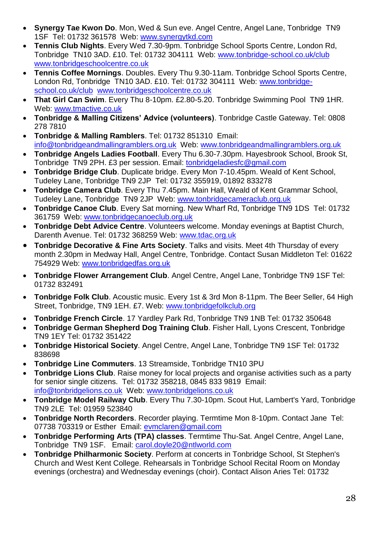- **Synergy Tae Kwon Do**. Mon, Wed & Sun eve. Angel Centre, Angel Lane, Tonbridge TN9 1SF Tel: 01732 361578 Web: www.synergytkd.com
- **Tennis Club Nights**. Every Wed 7.30-9pm. Tonbridge School Sports Centre, London Rd, Tonbridge TN10 3AD. £10. Tel: 01732 304111 Web: www.tonbridge-school.co.uk/club www.tonbridgeschoolcentre.co.uk
- **Tennis Coffee Mornings**. Doubles. Every Thu 9.30-11am. Tonbridge School Sports Centre, London Rd, Tonbridge TN10 3AD. £10. Tel: 01732 304111 Web: www.tonbridgeschool.co.uk/club www.tonbridgeschoolcentre.co.uk
- **That Girl Can Swim**. Every Thu 8-10pm. £2.80-5.20. Tonbridge Swimming Pool TN9 1HR. Web: www.tmactive.co.uk
- **Tonbridge & Malling Citizens' Advice (volunteers)**. Tonbridge Castle Gateway. Tel: 0808 278 7810
- **Tonbridge & Malling Ramblers**. Tel: 01732 851310 Email: [info@tonbridgeandmallingramblers.org.uk](mailto:info@tonbridgeandmallingramblers.org.uk) Web: [www.tonbridgeandmallingramblers.org.uk](http://www.tonbridgeandmallingramblers.org.uk/)
- **Tonbridge Angels Ladies Football**. Every Thu 6.30-7.30pm. Hayesbrook School, Brook St, Tonbridge TN9 2PH. £3 per session. Email: tonbridgeladiesfc@gmail.com
- **Tonbridge Bridge Club**. Duplicate bridge. Every Mon 7-10.45pm. Weald of Kent School, Tudeley Lane, Tonbridge TN9 2JP Tel: 01732 355919, 01892 833278
- **Tonbridge Camera Club**. Every Thu 7.45pm. Main Hall, Weald of Kent Grammar School, Tudeley Lane, Tonbridge TN9 2JP Web: www.tonbridgecameraclub.org.uk
- **Tonbridge Canoe Club**. Every Sat morning. New Wharf Rd, Tonbridge TN9 1DS Tel: 01732 361759 Web: www.tonbridgecanoeclub.org.uk
- **Tonbridge Debt Advice Centre**. Volunteers welcome. Monday evenings at Baptist Church, Darenth Avenue. Tel: 01732 368259 Web: www.tdac.org.uk
- **Tonbridge Decorative & Fine Arts Society**. Talks and visits. Meet 4th Thursday of every month 2.30pm in Medway Hall, Angel Centre, Tonbridge. Contact Susan Middleton Tel: 01622 754929 Web: www.tonbridgedfas.org.uk
- **Tonbridge Flower Arrangement Club**. Angel Centre, Angel Lane, Tonbridge TN9 1SF Tel: 01732 832491
- **Tonbridge Folk Club**. Acoustic music. Every 1st & 3rd Mon 8-11pm. The Beer Seller, 64 High Street, Tonbridge, TN9 1EH. £7. Web: [www.tonbridgefolkclub.org](http://www.tonbridgefolkclub.org/)
- **Tonbridge French Circle**. 17 Yardley Park Rd, Tonbridge TN9 1NB Tel: 01732 350648
- **Tonbridge German Shepherd Dog Training Club**. Fisher Hall, Lyons Crescent, Tonbridge TN9 1EY Tel: 01732 351422
- **Tonbridge Historical Society**. Angel Centre, Angel Lane, Tonbridge TN9 1SF Tel: 01732 838698
- **Tonbridge Line Commuters**. 13 Streamside, Tonbridge TN10 3PU
- **Tonbridge Lions Club**. Raise money for local projects and organise activities such as a party for senior single citizens. Tel: 01732 358218, 0845 833 9819 Email: [info@tonbridgelions.co.uk](mailto:info@tonbridgelions.co.uk) Web: [www.tonbridgelions.co.uk](http://www.tonbridgelions.co.uk/)
- **Tonbridge Model Railway Club**. Every Thu 7.30-10pm. Scout Hut, Lambert's Yard, Tonbridge TN9 2LE Tel: 01959 523840
- **Tonbridge North Recorders**. Recorder playing. Termtime Mon 8-10pm. Contact Jane Tel: 07738 703319 or Esther Email: evmclaren@gmail.com
- **Tonbridge Performing Arts (TPA) classes**. Termtime Thu-Sat. Angel Centre, Angel Lane, Tonbridge TN9 1SF. Email: carol.doyle20@ntlworld.com
- **Tonbridge Philharmonic Society**. Perform at concerts in Tonbridge School, St Stephen's Church and West Kent College. Rehearsals in Tonbridge School Recital Room on Monday evenings (orchestra) and Wednesday evenings (choir). Contact Alison Aries Tel: 01732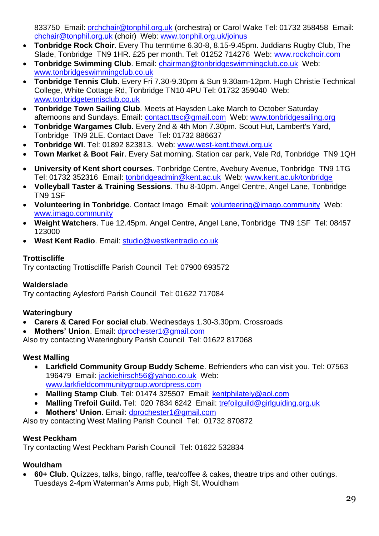833750 Email: orchchair@tonphil.org.uk (orchestra) or Carol Wake Tel: 01732 358458 Email: chchair@tonphil.org.uk (choir) Web: www.tonphil.org.uk/joinus

- **Tonbridge Rock Choir**. Every Thu termtime 6.30-8, 8.15-9.45pm. Juddians Rugby Club, The Slade, Tonbridge TN9 1HR. £25 per month. Tel: 01252 714276 Web: www.rockchoir.com
- **Tonbridge Swimming Club**. Email: [chairman@tonbridgeswimmingclub.co.uk](mailto:chairman@tonbridgeswimmingclub.co.uk) Web: [www.tonbridgeswimmingclub.co.uk](http://www.tonbridgeswimmingclub.co.uk/)
- **Tonbridge Tennis Club**. Every Fri 7.30-9.30pm & Sun 9.30am-12pm. Hugh Christie Technical College, White Cottage Rd, Tonbridge TN10 4PU Tel: 01732 359040 Web: www.tonbridgetennisclub.co.uk
- **Tonbridge Town Sailing Club**. Meets at Haysden Lake March to October Saturday afternoons and Sundays. Email: [contact.ttsc@gmail.com](mailto:contact.ttsc@gmail.com) Web: [www.tonbridgesailing.org](http://www.tonbridgesailing.org/)
- **Tonbridge Wargames Club**. Every 2nd & 4th Mon 7.30pm. Scout Hut, Lambert's Yard, Tonbridge TN9 2LE. Contact Dave Tel: 01732 886637
- **Tonbridge WI**. Tel: 01892 823813. Web: [www.west-kent.thewi.org.uk](http://www.west-kent.thewi.org.uk/)
- **Town Market & Boot Fair**. Every Sat morning. Station car park, Vale Rd, Tonbridge TN9 1QH
- **University of Kent short courses**. Tonbridge Centre, Avebury Avenue, Tonbridge TN9 1TG Tel: 01732 352316 Email: tonbridgeadmin@kent.ac.uk Web: www.kent.ac.uk/tonbridge
- **Volleyball Taster & Training Sessions**. Thu 8-10pm. Angel Centre, Angel Lane, Tonbridge TN9 1SF
- **Volunteering in Tonbridge**. Contact Imago Email: volunteering@imago.community Web: www.imago.community
- **Weight Watchers**. Tue 12.45pm. Angel Centre, Angel Lane, Tonbridge TN9 1SF Tel: 08457 123000
- **West Kent Radio**. Email: [studio@westkentradio.co.uk](mailto:studio@westkentradio.co.uk)

#### <span id="page-28-0"></span>**Trottiscliffe**

Try contacting Trottiscliffe Parish Council Tel: 07900 693572

# <span id="page-28-1"></span>**Walderslade**

Try contacting Aylesford Parish Council Tel: 01622 717084

# <span id="page-28-2"></span>**Wateringbury**

- **Carers & Cared For social club**. Wednesdays 1.30-3.30pm. Crossroads
- **Mothers' Union**. Email: [dprochester1@gmail.com](mailto:dprochester1@gmail.com)

Also try contacting Wateringbury Parish Council Tel: 01622 817068

#### <span id="page-28-3"></span>**West Malling**

- **Larkfield Community Group Buddy Scheme**. Befrienders who can visit you. Tel: 07563 196479 Email: [jackiehirsch56@yahoo.co.uk](mailto:jackiehirsch56@yahoo.co.uk) Web: [www.larkfieldcommunitygroup.wordpress.com](http://www.larkfieldcommunitygroup.wordpress.com/)
- **Malling Stamp Club**. Tel: 01474 325507 Email: [kentphilately@aol.com](mailto:kentphilately@aol.com)
- **Malling Trefoil Guild.** Tel: 020 7834 6242 Email: [trefoilguild@girlguiding.org.uk](mailto:trefoilguild@girlguiding.org.uk)
- **Mothers' Union**. Email: [dprochester1@gmail.com](mailto:dprochester1@gmail.com)

Also try contacting West Malling Parish Council Tel: 01732 870872

# <span id="page-28-4"></span>**West Peckham**

Try contacting West Peckham Parish Council Tel: 01622 532834

# <span id="page-28-5"></span>**Wouldham**

 **60+ Club**. Quizzes, talks, bingo, raffle, tea/coffee & cakes, theatre trips and other outings. Tuesdays 2-4pm Waterman's Arms pub, High St, Wouldham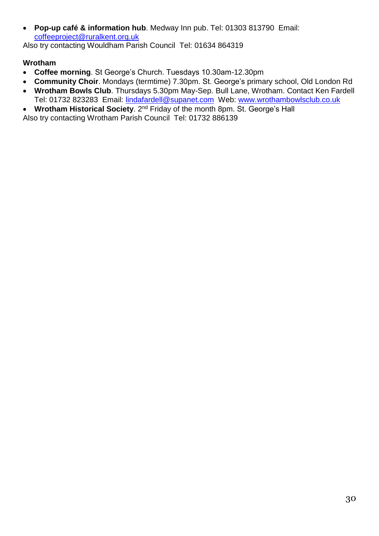**Pop-up café & information hub**. Medway Inn pub. Tel: 01303 813790 Email: [coffeeproject@ruralkent.org.uk](mailto:coffeeproject@ruralkent.org.uk)

Also try contacting Wouldham Parish Council Tel: 01634 864319

# <span id="page-29-0"></span>**Wrotham**

- **Coffee morning**. St George's Church. Tuesdays 10.30am-12.30pm
- **Community Choir**. Mondays (termtime) 7.30pm. St. George's primary school, Old London Rd
- **Wrotham Bowls Club**. Thursdays 5.30pm May-Sep. Bull Lane, Wrotham. Contact Ken Fardell Tel: 01732 823283 Email: [lindafardell@supanet.com](mailto:lindafardell@supanet.com) Web: [www.wrothambowlsclub.co.uk](http://www.wrothambowlsclub.co.uk/)
- **Wrotham Historical Society**. 2nd Friday of the month 8pm. St. George's Hall

Also try contacting Wrotham Parish Council Tel: 01732 886139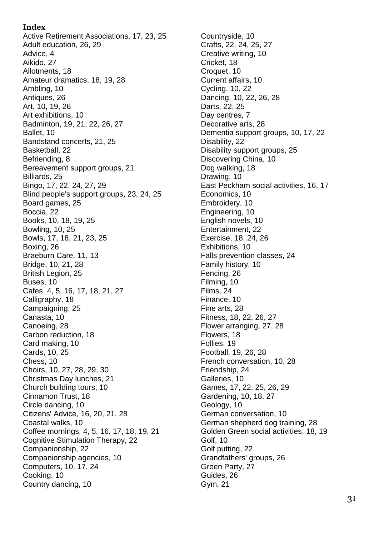#### **Index**

Active Retirement Associations, 17, 23, 25 Adult education, 26, 29 Advice, 4 Aikido, 27 Allotments, 18 Amateur dramatics, 18, 19, 28 Ambling, 10 Antiques, 26 Art, 10, 19, 26 Art exhibitions, 10 Badminton, 19, 21, 22, 26, 27 Ballet, 10 Bandstand concerts, 21, 25 Basketball, 22 Befriending, 8 Bereavement support groups, 21 Billiards, 25 Bingo, 17, 22, 24, 27, 29 Blind people's support groups, 23, 24, 25 Board games, 25 Boccia, 22 Books, 10, 18, 19, 25 Bowling, 10, 25 Bowls, 17, 18, 21, 23, 25 Boxing, 26 Braeburn Care, 11, 13 Bridge, 10, 21, 28 British Legion, 25 Buses, 10 Cafes, 4, 5, 16, 17, 18, 21, 27 Calligraphy, 18 Campaigning, 25 Canasta, 10 Canoeing, 28 Carbon reduction, 18 Card making, 10 Cards, 10, 25 Chess, 10 Choirs, 10, 27, 28, 29, 30 Christmas Day lunches, 21 Church building tours, 10 Cinnamon Trust, 18 Circle dancing, 10 Citizens' Advice, 16, 20, 21, 28 Coastal walks, 10 Coffee mornings, 4, 5, 16, 17, 18, 19, 21 Cognitive Stimulation Therapy, 22 Companionship, 22 Companionship agencies, 10 Computers, 10, 17, 24 Cooking, 10 Country dancing, 10

Countryside, 10 Crafts, 22, 24, 25, 27 Creative writing, 10 Cricket, 18 Croquet, 10 Current affairs, 10 Cycling, 10, 22 Dancing, 10, 22, 26, 28 Darts, 22, 25 Day centres, 7 Decorative arts, 28 Dementia support groups, 10, 17, 22 Disability, 22 Disability support groups, 25 Discovering China, 10 Dog walking, 18 Drawing, 10 East Peckham social activities, 16, 17 Economics, 10 Embroidery, 10 Engineering, 10 English novels, 10 Entertainment, 22 Exercise, 18, 24, 26 Exhibitions, 10 Falls prevention classes, 24 Family history, 10 Fencing, 26 Filming, 10 Films, 24 Finance, 10 Fine arts, 28 Fitness, 18, 22, 26, 27 Flower arranging, 27, 28 Flowers, 18 Follies, 19 Football, 19, 26, 28 French conversation, 10, 28 Friendship, 24 Galleries, 10 Games, 17, 22, 25, 26, 29 Gardening, 10, 18, 27 Geology, 10 German conversation, 10 German shepherd dog training, 28 Golden Green social activities, 18, 19 Golf, 10 Golf putting, 22 Grandfathers' groups, 26 Green Party, 27 Guides, 26 Gym, 21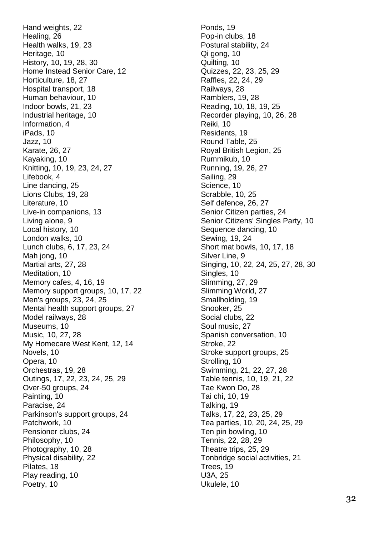Hand weights, 22 Healing, 26 Health walks, 19, 23 Heritage, 10 History, 10, 19, 28, 30 Home Instead Senior Care, 12 Horticulture, 18, 27 Hospital transport, 18 Human behaviour, 10 Indoor bowls, 21, 23 Industrial heritage, 10 Information, 4 iPads, 10 Jazz, 10 Karate, 26, 27 Kayaking, 10 Knitting, 10, 19, 23, 24, 27 Lifebook, 4 Line dancing, 25 Lions Clubs, 19, 28 Literature, 10 Live -in companions, 13 Living alone, 9 Local history, 10 London walks, 10 Lunch clubs, 6, 17, 23, 24 Mah jong, 10 Martial arts, 27, 28 Meditation, 10 Memory cafes, 4, 16, 19 Memory support groups, 10, 17, 22 Men's groups, 23, 24, 25 Mental health support groups, 27 Model railways, 28 Museums, 10 Music, 10, 27, 28 My Homecare West Kent, 12, 14 Novels, 10 Opera, 10 Orchestras, 19, 28 Outings, 17, 22, 23, 24, 25, 29 Over -50 groups, 24 Painting, 10 Paracise, 24 Parkinson's support groups, 24 Patchwork, 10 Pensioner clubs, 24 Philosophy, 10 Photography, 10, 28 Physical disability, 22 Pilates, 18 Play reading, 10 Poetry, 10

Ponds, 19 Pop -in clubs, 18 Postural stability, 24 Qi gong, 10 Quilting, 10 Quizzes, 22, 23, 25, 29 Raffles, 22, 24, 29 Railways, 28 Ramblers, 19, 28 Reading, 10, 18, 19, 25 Recorder playing, 10, 26, 28 Reiki, 10 Residents, 19 Round Table, 25 Royal British Legion, 25 Rummikub, 10 Running, 19, 26, 27 Sailing, 29 Science, 10 Scrabble, 10, 25 Self defence, 26, 27 Senior Citizen parties, 24 Senior Citizens' Singles Party, 10 Sequence dancing, 10 Sewing, 19, 24 Short mat bowls, 10, 17, 18 Silver Line, 9 Singing, 10, 22, 24, 25, 27, 28, 30 Singles, 10 Slimming, 27, 29 Slimming World, 27 Smallholding, 19 Snooker, 25 Social clubs, 22 Soul music, 27 Spanish conversation, 10 Stroke, 22 Stroke support groups, 25 Strolling, 10 Swimming, 21, 22, 27, 28 Table tennis, 10, 19, 21, 22 Tae Kwon Do, 28 Tai chi, 10, 19 Talking, 19 Talks, 17, 22, 23, 25, 29 Tea parties, 10, 20, 24, 25, 29 Ten pin bowling, 10 Tennis, 22, 28, 29 Theatre trips, 25, 29 Tonbridge social activities, 21 Trees, 19 U3A, 25 Ukulele, 10